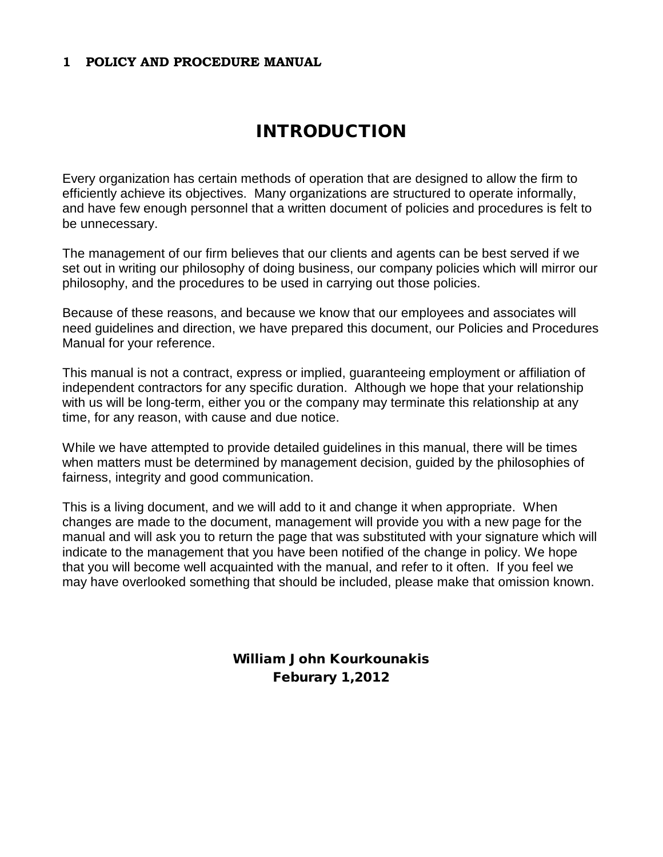#### **1 POLICY AND PROCEDURE MANUAL**

## INTRODUCTION

Every organization has certain methods of operation that are designed to allow the firm to efficiently achieve its objectives. Many organizations are structured to operate informally, and have few enough personnel that a written document of policies and procedures is felt to be unnecessary.

The management of our firm believes that our clients and agents can be best served if we set out in writing our philosophy of doing business, our company policies which will mirror our philosophy, and the procedures to be used in carrying out those policies.

Because of these reasons, and because we know that our employees and associates will need guidelines and direction, we have prepared this document, our Policies and Procedures Manual for your reference.

This manual is not a contract, express or implied, guaranteeing employment or affiliation of independent contractors for any specific duration. Although we hope that your relationship with us will be long-term, either you or the company may terminate this relationship at any time, for any reason, with cause and due notice.

While we have attempted to provide detailed guidelines in this manual, there will be times when matters must be determined by management decision, guided by the philosophies of fairness, integrity and good communication.

This is a living document, and we will add to it and change it when appropriate. When changes are made to the document, management will provide you with a new page for the manual and will ask you to return the page that was substituted with your signature which will indicate to the management that you have been notified of the change in policy. We hope that you will become well acquainted with the manual, and refer to it often. If you feel we may have overlooked something that should be included, please make that omission known.

> William John Kourkounakis Feburary 1,2012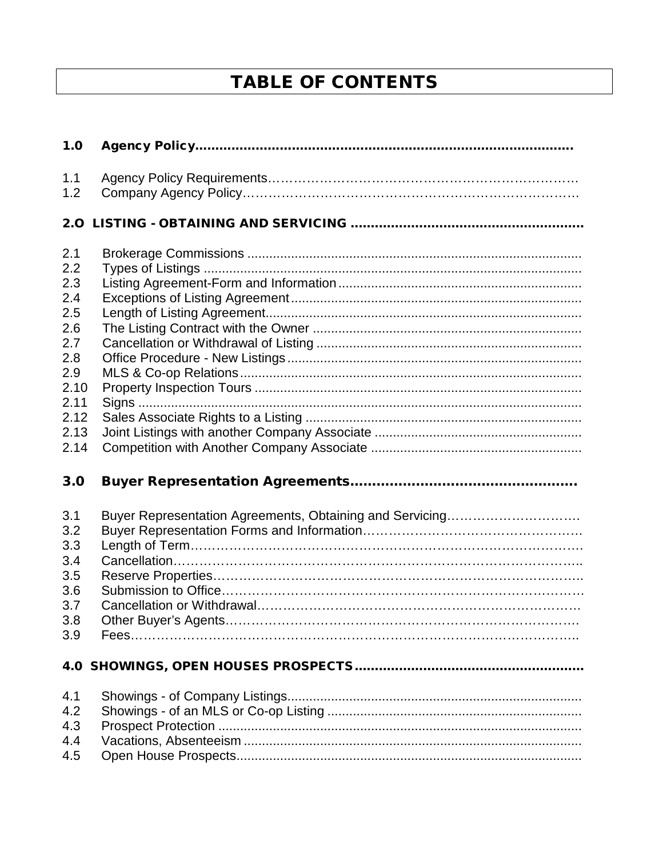# **TABLE OF CONTENTS**

| 1.0  |  |
|------|--|
| 1.1  |  |
| 1.2  |  |
|      |  |
| 2.1  |  |
| 2.2  |  |
| 2.3  |  |
| 2.4  |  |
| 2.5  |  |
| 2.6  |  |
| 2.7  |  |
| 2.8  |  |
| 2.9  |  |
| 2.10 |  |
| 2.11 |  |
| 2.12 |  |
| 2.13 |  |
| 2.14 |  |
| 3.0  |  |
| 3.1  |  |
| 3.2  |  |
| 3.3  |  |
| 3.4  |  |
| 3.5  |  |
| 3.6  |  |
| 3.7  |  |
| 3.8  |  |
| 3.9  |  |
|      |  |
| 4.1  |  |
| 4.2  |  |
| 4.3  |  |
| 4.4  |  |
| 4.5  |  |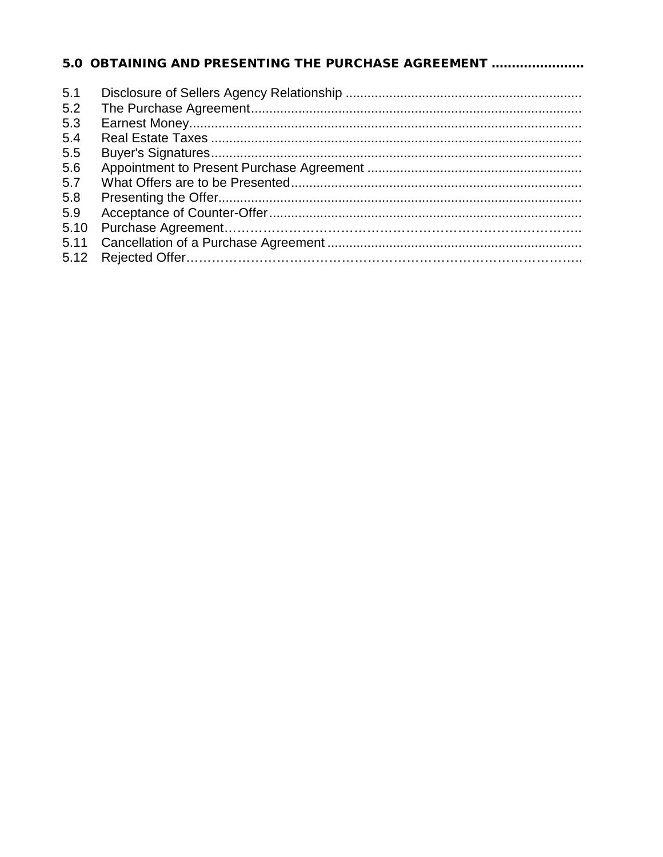## 5.0 OBTAINING AND PRESENTING THE PURCHASE AGREEMENT .......................

| 5.1<br>5.2 |  |
|------------|--|
| 5.3        |  |
| 5.4        |  |
| 5.5        |  |
| 5.6        |  |
| 5.7        |  |
| 5.8        |  |
| 5.9        |  |
| 5.10       |  |
| 5.11       |  |
| 5.12       |  |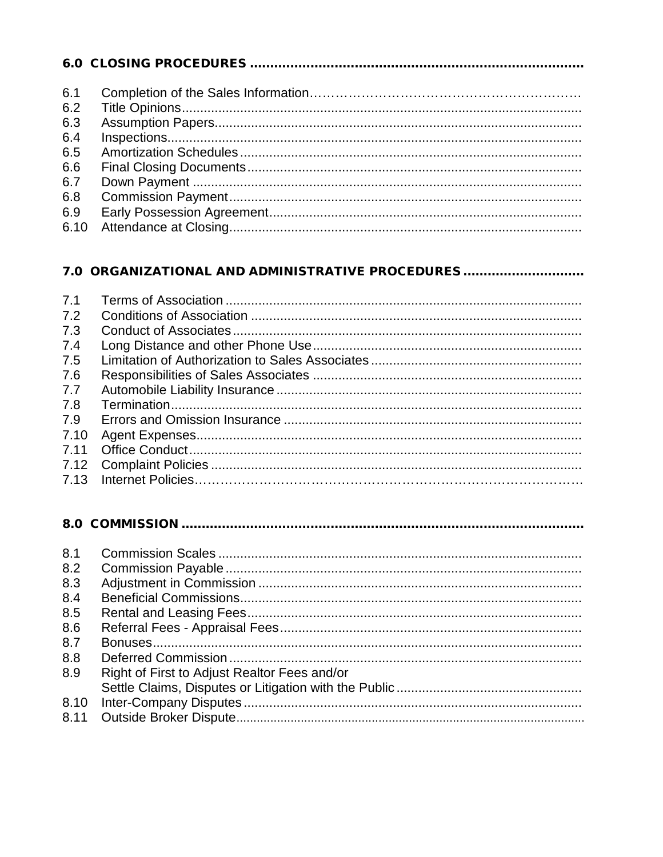| 6.1  |  |
|------|--|
| 6.2  |  |
| 6.3  |  |
| 6.4  |  |
| 6.5  |  |
| 6.6  |  |
| 6.7  |  |
| 6.8  |  |
| 6.9  |  |
| 6.10 |  |

#### 7.0 ORGANIZATIONAL AND ADMINISTRATIVE PROCEDURES ...............................

| 7.1  |  |
|------|--|
| 7.2  |  |
| 7.3  |  |
| 7.4  |  |
| 7.5  |  |
| 7.6  |  |
| 7.7  |  |
| 7.8  |  |
| 7.9  |  |
| 7.10 |  |
| 7.11 |  |
|      |  |
|      |  |
|      |  |

#### 

| 8.1  |                                              |
|------|----------------------------------------------|
| 8.2  |                                              |
| 8.3  |                                              |
| 8.4  |                                              |
| 8.5  |                                              |
| 8.6  |                                              |
| 8.7  |                                              |
| 8.8  |                                              |
| 8.9  | Right of First to Adjust Realtor Fees and/or |
|      |                                              |
| 8.10 |                                              |
| 8.11 |                                              |
|      |                                              |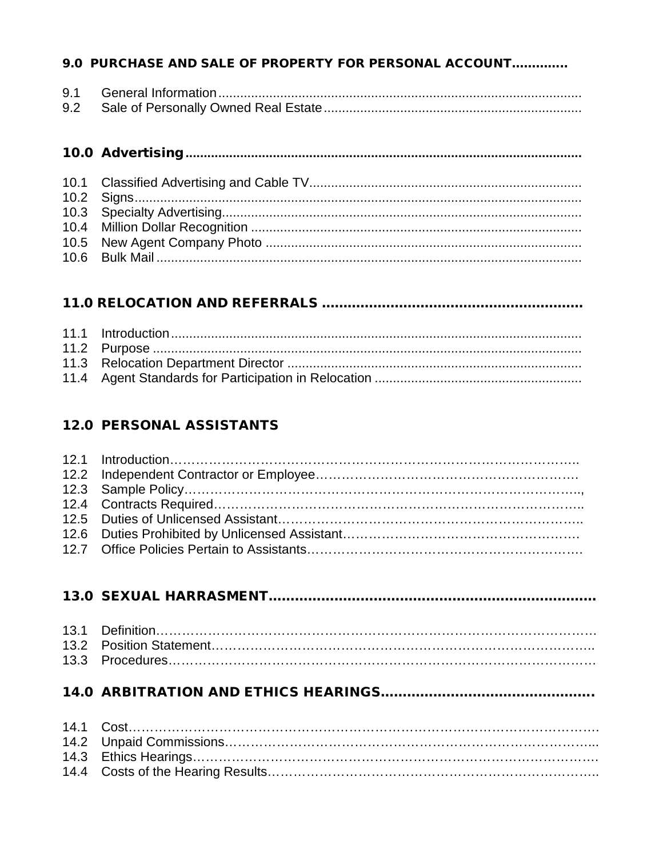#### 9.0 PURCHASE AND SALE OF PROPERTY FOR PERSONAL ACCOUNT..............

| 9.1 |  |
|-----|--|
|     |  |

## 

#### **12.0 PERSONAL ASSISTANTS**

# 

##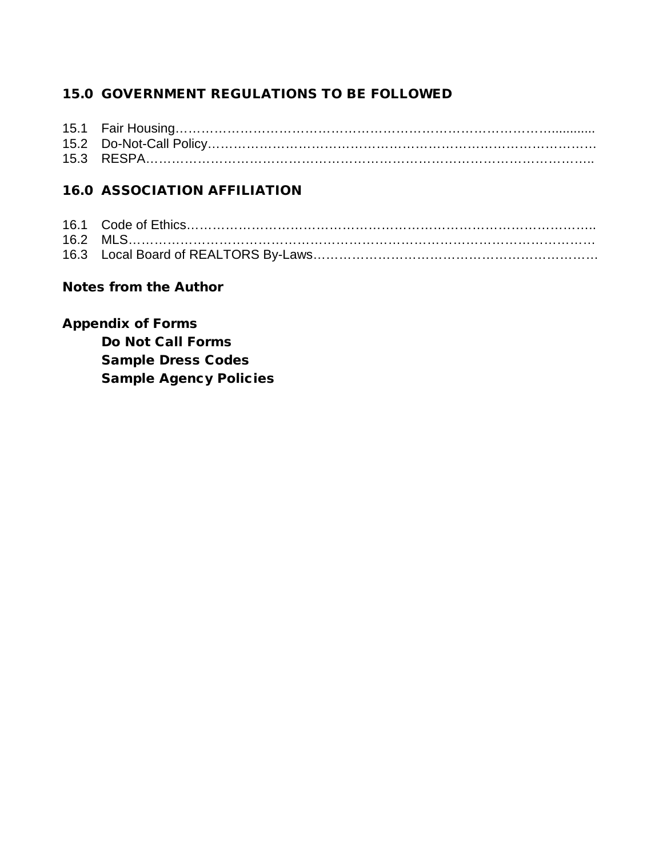## 15.0 GOVERNMENT REGULATIONS TO BE FOLLOWED

## 16.0 ASSOCIATION AFFILIATION

## Notes from the Author

## Appendix of Forms

Do Not Call Forms Sample Dress Codes Sample Agency Policies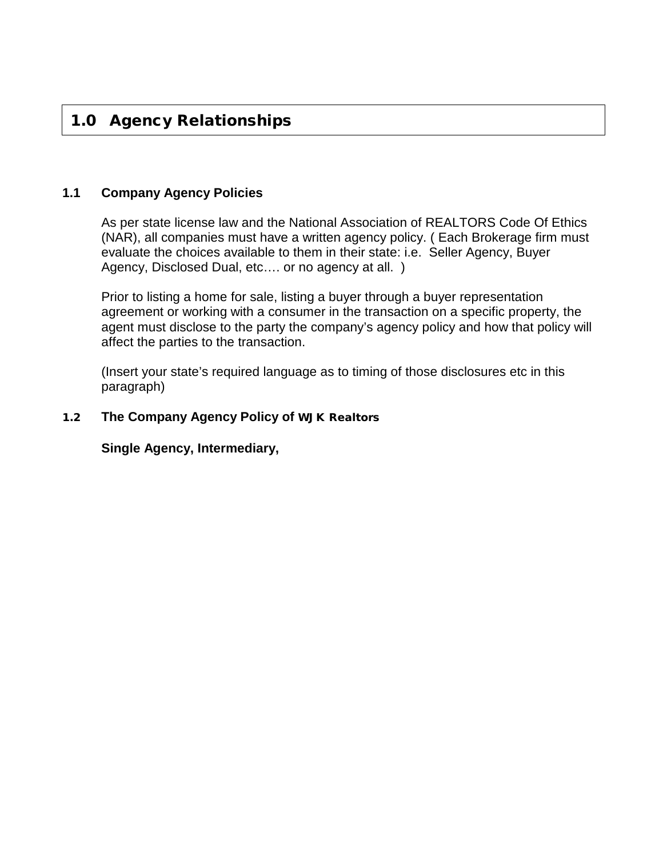## 1.0 Agency Relationships

#### **1.1 Company Agency Policies**

As per state license law and the National Association of REALTORS Code Of Ethics (NAR), all companies must have a written agency policy. ( Each Brokerage firm must evaluate the choices available to them in their state: i.e. Seller Agency, Buyer Agency, Disclosed Dual, etc.... or no agency at all. )

Prior to listing a home for sale, listing a buyer through a buyer representation agreement or working with a consumer in the transaction on a specific property, the agent must disclose to the party the company's agency policy and how that policy will affect the parties to the transaction.

(Insert your state's required language as to timing of those disclosures etc in this paragraph)

#### 1.2 **The Company Agency Policy of** WJK Realtors

**Single Agency, Intermediary,**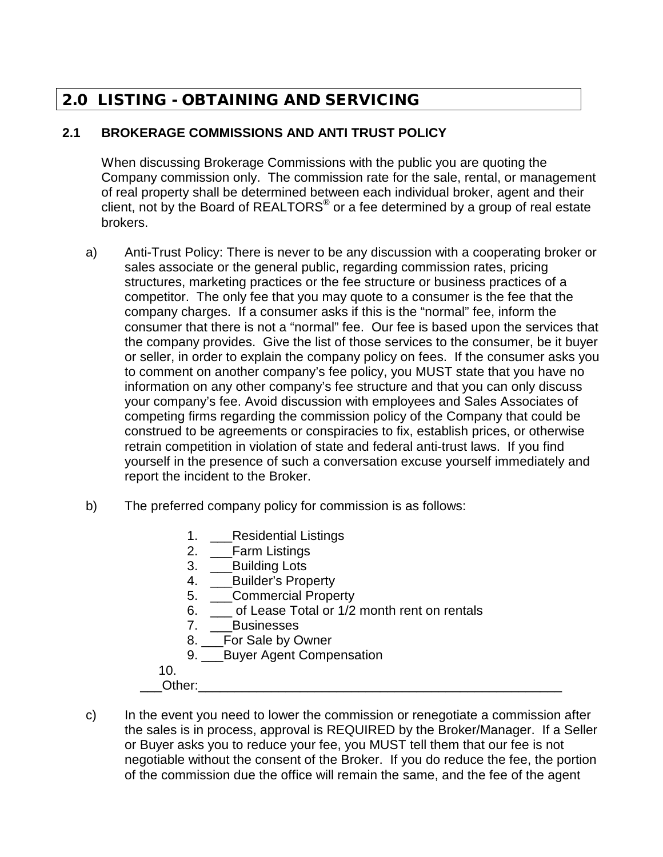## 2.0 LISTING - OBTAINING AND SERVICING

## **2.1 BROKERAGE COMMISSIONS AND ANTI TRUST POLICY**

When discussing Brokerage Commissions with the public you are quoting the Company commission only. The commission rate for the sale, rental, or management of real property shall be determined between each individual broker, agent and their client, not by the Board of REALTORS® or a fee determined by a group of real estate brokers.

- a) Anti-Trust Policy: There is never to be any discussion with a cooperating broker or sales associate or the general public, regarding commission rates, pricing structures, marketing practices or the fee structure or business practices of a competitor. The only fee that you may quote to a consumer is the fee that the company charges. If a consumer asks if this is the "normal" fee, inform the consumer that there is not a "normal" fee. Our fee is based upon the services that the company provides. Give the list of those services to the consumer, be it buyer or seller, in order to explain the company policy on fees. If the consumer asks you to comment on another company's fee policy, you MUST state that you have no information on any other company's fee structure and that you can only discuss your company's fee. Avoid discussion with employees and Sales Associates of competing firms regarding the commission policy of the Company that could be construed to be agreements or conspiracies to fix, establish prices, or otherwise retrain competition in violation of state and federal anti-trust laws. If you find yourself in the presence of such a conversation excuse yourself immediately and report the incident to the Broker.
- b) The preferred company policy for commission is as follows:
	- 1. Residential Listings
	- 2. \_\_\_Farm Listings
	- 3. \_\_\_Building Lots
	- 4. Builder's Property
	- 5. \_\_\_Commercial Property
	- 6. \_\_\_ of Lease Total or 1/2 month rent on rentals
	- 7. \_\_\_Businesses
	- 8. \_\_\_For Sale by Owner
	- 9. Buyer Agent Compensation

10.

- \_\_\_Other:\_\_\_\_\_\_\_\_\_\_\_\_\_\_\_\_\_\_\_\_\_\_\_\_\_\_\_\_\_\_\_\_\_\_\_\_\_\_\_\_\_\_\_\_\_\_\_\_\_\_
- c) In the event you need to lower the commission or renegotiate a commission after the sales is in process, approval is REQUIRED by the Broker/Manager. If a Seller or Buyer asks you to reduce your fee, you MUST tell them that our fee is not negotiable without the consent of the Broker. If you do reduce the fee, the portion of the commission due the office will remain the same, and the fee of the agent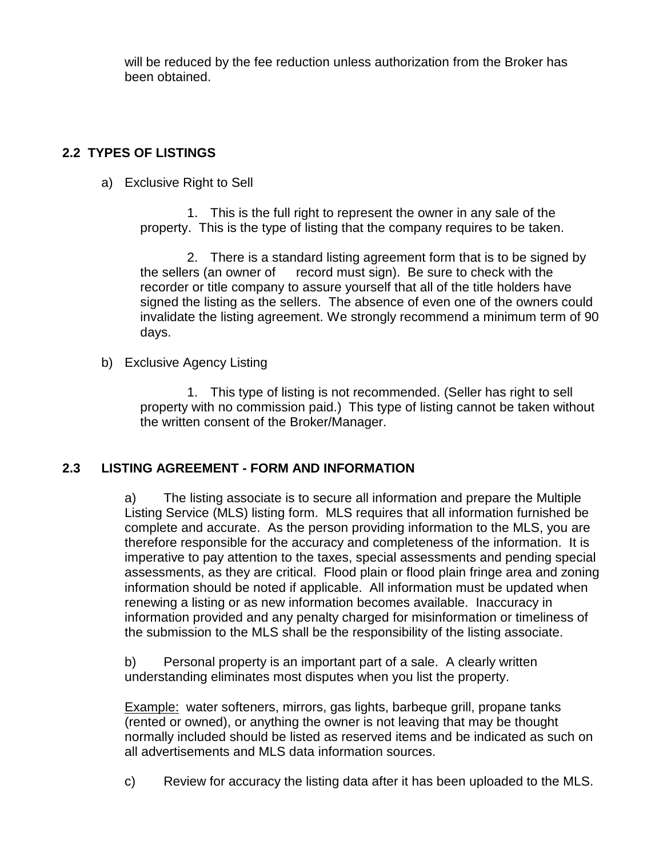will be reduced by the fee reduction unless authorization from the Broker has been obtained.

## **2.2 TYPES OF LISTINGS**

a) Exclusive Right to Sell

1. This is the full right to represent the owner in any sale of the property. This is the type of listing that the company requires to be taken.

2. There is a standard listing agreement form that is to be signed by the sellers (an owner of record must sign). Be sure to check with the recorder or title company to assure yourself that all of the title holders have signed the listing as the sellers. The absence of even one of the owners could invalidate the listing agreement. We strongly recommend a minimum term of 90 days.

b) Exclusive Agency Listing

1. This type of listing is not recommended. (Seller has right to sell property with no commission paid.) This type of listing cannot be taken without the written consent of the Broker/Manager.

## **2.3 LISTING AGREEMENT - FORM AND INFORMATION**

a) The listing associate is to secure all information and prepare the Multiple Listing Service (MLS) listing form. MLS requires that all information furnished be complete and accurate. As the person providing information to the MLS, you are therefore responsible for the accuracy and completeness of the information. It is imperative to pay attention to the taxes, special assessments and pending special assessments, as they are critical. Flood plain or flood plain fringe area and zoning information should be noted if applicable. All information must be updated when renewing a listing or as new information becomes available. Inaccuracy in information provided and any penalty charged for misinformation or timeliness of the submission to the MLS shall be the responsibility of the listing associate.

b) Personal property is an important part of a sale. A clearly written understanding eliminates most disputes when you list the property.

Example: water softeners, mirrors, gas lights, barbeque grill, propane tanks (rented or owned), or anything the owner is not leaving that may be thought normally included should be listed as reserved items and be indicated as such on all advertisements and MLS data information sources.

c) Review for accuracy the listing data after it has been uploaded to the MLS.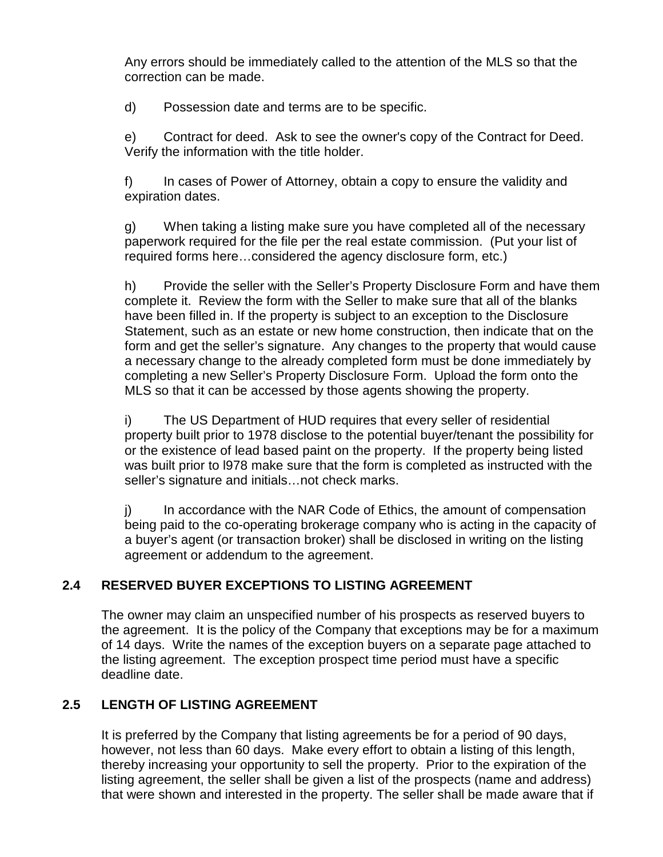Any errors should be immediately called to the attention of the MLS so that the correction can be made.

d) Possession date and terms are to be specific.

e) Contract for deed. Ask to see the owner's copy of the Contract for Deed. Verify the information with the title holder.

f) In cases of Power of Attorney, obtain a copy to ensure the validity and expiration dates.

g) When taking a listing make sure you have completed all of the necessary paperwork required for the file per the real estate commission. (Put your list of required forms here…considered the agency disclosure form, etc.)

h) Provide the seller with the Seller's Property Disclosure Form and have them complete it. Review the form with the Seller to make sure that all of the blanks have been filled in. If the property is subject to an exception to the Disclosure Statement, such as an estate or new home construction, then indicate that on the form and get the seller's signature. Any changes to the property that would cause a necessary change to the already completed form must be done immediately by completing a new Seller's Property Disclosure Form. Upload the form onto the MLS so that it can be accessed by those agents showing the property.

i) The US Department of HUD requires that every seller of residential property built prior to 1978 disclose to the potential buyer/tenant the possibility for or the existence of lead based paint on the property. If the property being listed was built prior to l978 make sure that the form is completed as instructed with the seller's signature and initials…not check marks.

j) In accordance with the NAR Code of Ethics, the amount of compensation being paid to the co-operating brokerage company who is acting in the capacity of a buyer's agent (or transaction broker) shall be disclosed in writing on the listing agreement or addendum to the agreement.

## **2.4 RESERVED BUYER EXCEPTIONS TO LISTING AGREEMENT**

The owner may claim an unspecified number of his prospects as reserved buyers to the agreement. It is the policy of the Company that exceptions may be for a maximum of 14 days. Write the names of the exception buyers on a separate page attached to the listing agreement. The exception prospect time period must have a specific deadline date.

## **2.5 LENGTH OF LISTING AGREEMENT**

It is preferred by the Company that listing agreements be for a period of 90 days, however, not less than 60 days. Make every effort to obtain a listing of this length, thereby increasing your opportunity to sell the property. Prior to the expiration of the listing agreement, the seller shall be given a list of the prospects (name and address) that were shown and interested in the property. The seller shall be made aware that if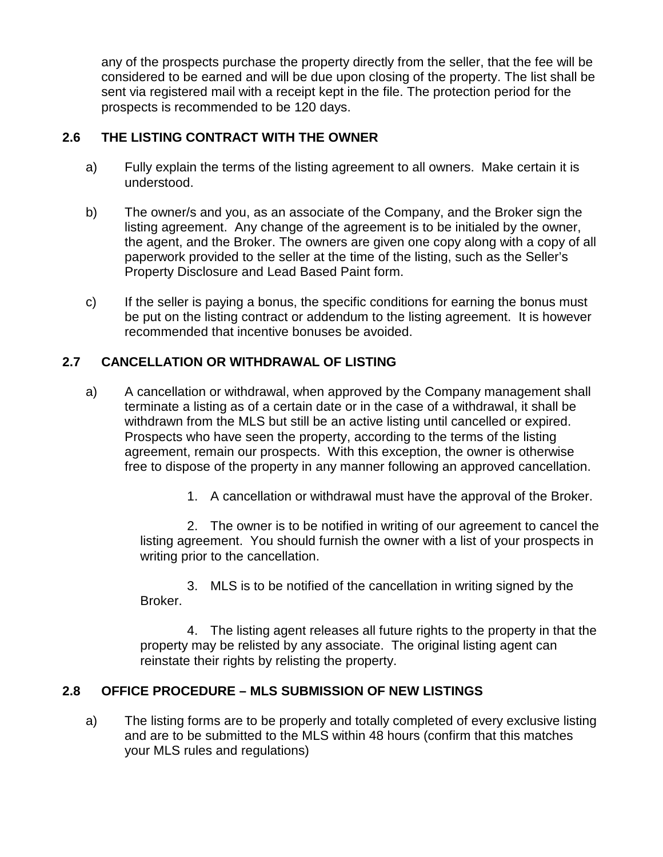any of the prospects purchase the property directly from the seller, that the fee will be considered to be earned and will be due upon closing of the property. The list shall be sent via registered mail with a receipt kept in the file. The protection period for the prospects is recommended to be 120 days.

## **2.6 THE LISTING CONTRACT WITH THE OWNER**

- a) Fully explain the terms of the listing agreement to all owners. Make certain it is understood.
- b) The owner/s and you, as an associate of the Company, and the Broker sign the listing agreement. Any change of the agreement is to be initialed by the owner, the agent, and the Broker. The owners are given one copy along with a copy of all paperwork provided to the seller at the time of the listing, such as the Seller's Property Disclosure and Lead Based Paint form.
- c) If the seller is paying a bonus, the specific conditions for earning the bonus must be put on the listing contract or addendum to the listing agreement. It is however recommended that incentive bonuses be avoided.

## **2.7 CANCELLATION OR WITHDRAWAL OF LISTING**

- a) A cancellation or withdrawal, when approved by the Company management shall terminate a listing as of a certain date or in the case of a withdrawal, it shall be withdrawn from the MLS but still be an active listing until cancelled or expired. Prospects who have seen the property, according to the terms of the listing agreement, remain our prospects. With this exception, the owner is otherwise free to dispose of the property in any manner following an approved cancellation.
	- 1. A cancellation or withdrawal must have the approval of the Broker.

2. The owner is to be notified in writing of our agreement to cancel the listing agreement. You should furnish the owner with a list of your prospects in writing prior to the cancellation.

3. MLS is to be notified of the cancellation in writing signed by the Broker.

4. The listing agent releases all future rights to the property in that the property may be relisted by any associate. The original listing agent can reinstate their rights by relisting the property.

## **2.8 OFFICE PROCEDURE – MLS SUBMISSION OF NEW LISTINGS**

a) The listing forms are to be properly and totally completed of every exclusive listing and are to be submitted to the MLS within 48 hours (confirm that this matches your MLS rules and regulations)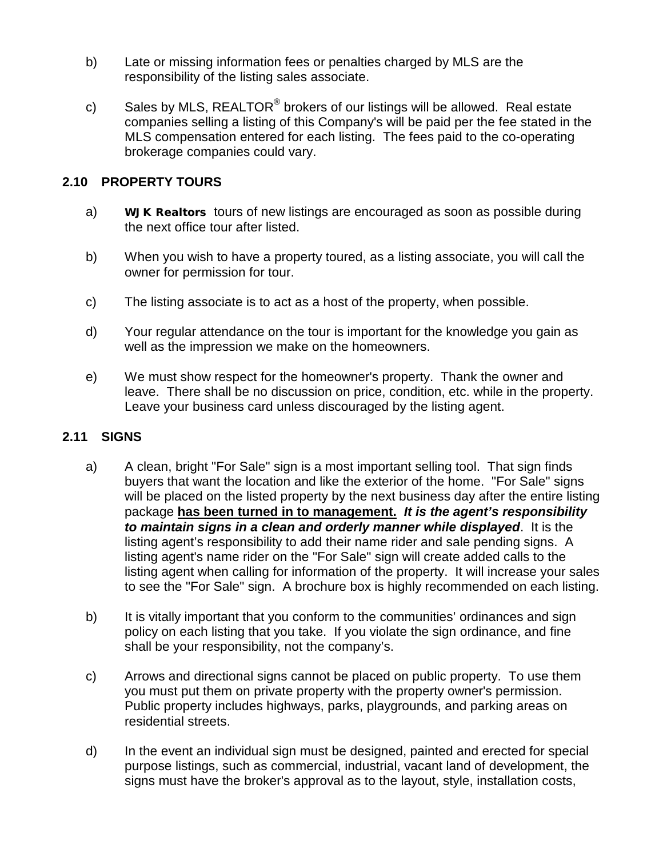- b) Late or missing information fees or penalties charged by MLS are the responsibility of the listing sales associate.
- c) Sales by MLS,  $REALTOR^@$  brokers of our listings will be allowed. Real estate companies selling a listing of this Company's will be paid per the fee stated in the MLS compensation entered for each listing. The fees paid to the co-operating brokerage companies could vary.

#### **2.10 PROPERTY TOURS**

- a) WJK Realtors tours of new listings are encouraged as soon as possible during the next office tour after listed.
- b) When you wish to have a property toured, as a listing associate, you will call the owner for permission for tour.
- c) The listing associate is to act as a host of the property, when possible.
- d) Your regular attendance on the tour is important for the knowledge you gain as well as the impression we make on the homeowners.
- e) We must show respect for the homeowner's property. Thank the owner and leave. There shall be no discussion on price, condition, etc. while in the property. Leave your business card unless discouraged by the listing agent.

#### **2.11 SIGNS**

- a) A clean, bright "For Sale" sign is a most important selling tool. That sign finds buyers that want the location and like the exterior of the home. "For Sale" signs will be placed on the listed property by the next business day after the entire listing package **has been turned in to management.** *It is the agent's responsibility to maintain signs in a clean and orderly manner while displayed*. It is the listing agent's responsibility to add their name rider and sale pending signs. A listing agent's name rider on the "For Sale" sign will create added calls to the listing agent when calling for information of the property. It will increase your sales to see the "For Sale" sign. A brochure box is highly recommended on each listing.
- b) It is vitally important that you conform to the communities' ordinances and sign policy on each listing that you take. If you violate the sign ordinance, and fine shall be your responsibility, not the company's.
- c) Arrows and directional signs cannot be placed on public property. To use them you must put them on private property with the property owner's permission. Public property includes highways, parks, playgrounds, and parking areas on residential streets.
- d) In the event an individual sign must be designed, painted and erected for special purpose listings, such as commercial, industrial, vacant land of development, the signs must have the broker's approval as to the layout, style, installation costs,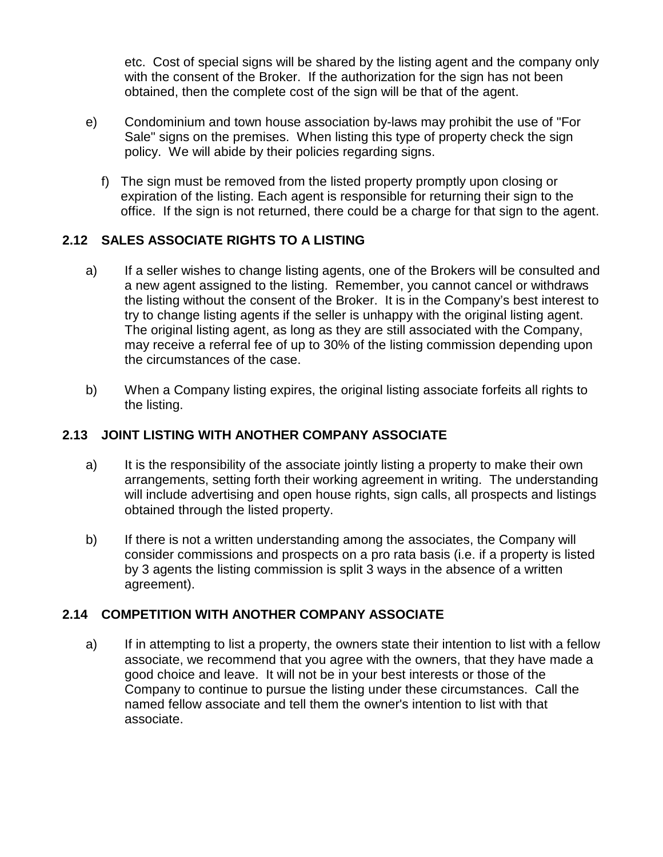etc. Cost of special signs will be shared by the listing agent and the company only with the consent of the Broker. If the authorization for the sign has not been obtained, then the complete cost of the sign will be that of the agent.

- e) Condominium and town house association by-laws may prohibit the use of "For Sale" signs on the premises. When listing this type of property check the sign policy. We will abide by their policies regarding signs.
	- f) The sign must be removed from the listed property promptly upon closing or expiration of the listing. Each agent is responsible for returning their sign to the office. If the sign is not returned, there could be a charge for that sign to the agent.

## **2.12 SALES ASSOCIATE RIGHTS TO A LISTING**

- a) If a seller wishes to change listing agents, one of the Brokers will be consulted and a new agent assigned to the listing. Remember, you cannot cancel or withdraws the listing without the consent of the Broker. It is in the Company's best interest to try to change listing agents if the seller is unhappy with the original listing agent. The original listing agent, as long as they are still associated with the Company, may receive a referral fee of up to 30% of the listing commission depending upon the circumstances of the case.
- b) When a Company listing expires, the original listing associate forfeits all rights to the listing.

## **2.13 JOINT LISTING WITH ANOTHER COMPANY ASSOCIATE**

- a) It is the responsibility of the associate jointly listing a property to make their own arrangements, setting forth their working agreement in writing. The understanding will include advertising and open house rights, sign calls, all prospects and listings obtained through the listed property.
- b) If there is not a written understanding among the associates, the Company will consider commissions and prospects on a pro rata basis (i.e. if a property is listed by 3 agents the listing commission is split 3 ways in the absence of a written agreement).

## **2.14 COMPETITION WITH ANOTHER COMPANY ASSOCIATE**

a) If in attempting to list a property, the owners state their intention to list with a fellow associate, we recommend that you agree with the owners, that they have made a good choice and leave. It will not be in your best interests or those of the Company to continue to pursue the listing under these circumstances. Call the named fellow associate and tell them the owner's intention to list with that associate.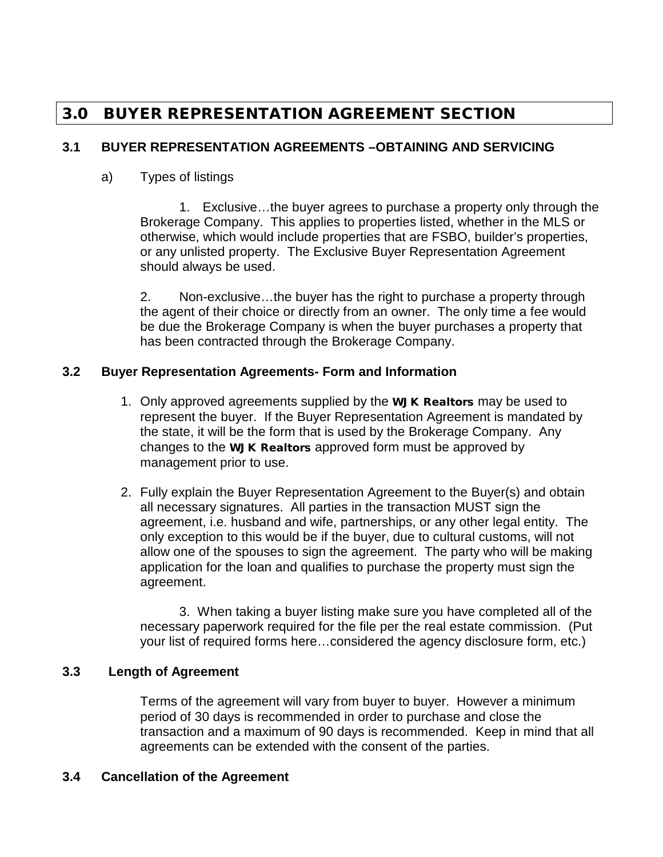## 3.0 BUYER REPRESENTATION AGREEMENT SECTION

## **3.1 BUYER REPRESENTATION AGREEMENTS –OBTAINING AND SERVICING**

## a) Types of listings

1. Exclusive…the buyer agrees to purchase a property only through the Brokerage Company. This applies to properties listed, whether in the MLS or otherwise, which would include properties that are FSBO, builder's properties, or any unlisted property. The Exclusive Buyer Representation Agreement should always be used.

2. Non-exclusive…the buyer has the right to purchase a property through the agent of their choice or directly from an owner. The only time a fee would be due the Brokerage Company is when the buyer purchases a property that has been contracted through the Brokerage Company.

#### **3.2 Buyer Representation Agreements- Form and Information**

- 1. Only approved agreements supplied by the WJK Realtors may be used to represent the buyer. If the Buyer Representation Agreement is mandated by the state, it will be the form that is used by the Brokerage Company. Any changes to the WJK Realtors approved form must be approved by management prior to use.
- 2. Fully explain the Buyer Representation Agreement to the Buyer(s) and obtain all necessary signatures. All parties in the transaction MUST sign the agreement, i.e. husband and wife, partnerships, or any other legal entity. The only exception to this would be if the buyer, due to cultural customs, will not allow one of the spouses to sign the agreement. The party who will be making application for the loan and qualifies to purchase the property must sign the agreement.

3. When taking a buyer listing make sure you have completed all of the necessary paperwork required for the file per the real estate commission. (Put your list of required forms here…considered the agency disclosure form, etc.)

## **3.3 Length of Agreement**

Terms of the agreement will vary from buyer to buyer. However a minimum period of 30 days is recommended in order to purchase and close the transaction and a maximum of 90 days is recommended. Keep in mind that all agreements can be extended with the consent of the parties.

## **3.4 Cancellation of the Agreement**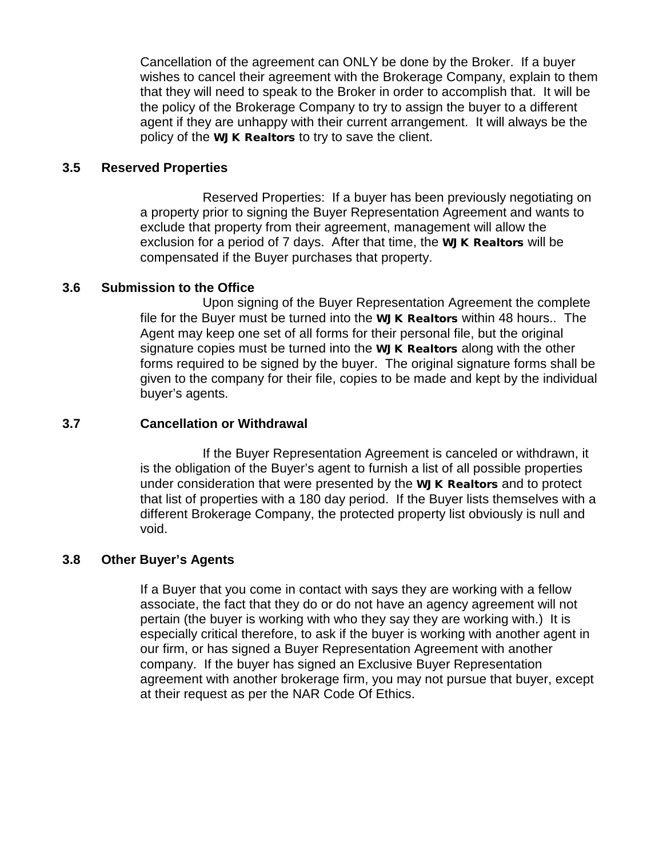Cancellation of the agreement can ONLY be done by the Broker. If a buyer wishes to cancel their agreement with the Brokerage Company, explain to them that they will need to speak to the Broker in order to accomplish that. It will be the policy of the Brokerage Company to try to assign the buyer to a different agent if they are unhappy with their current arrangement. It will always be the policy of the WJK Realtors to try to save the client.

#### **3.5 Reserved Properties**

Reserved Properties: If a buyer has been previously negotiating on a property prior to signing the Buyer Representation Agreement and wants to exclude that property from their agreement, management will allow the exclusion for a period of 7 days. After that time, the **WJK Realtors** will be compensated if the Buyer purchases that property.

#### **3.6 Submission to the Office**

Upon signing of the Buyer Representation Agreement the complete file for the Buyer must be turned into the WJK Realtors within 48 hours.. The Agent may keep one set of all forms for their personal file, but the original signature copies must be turned into the WJK Realtors along with the other forms required to be signed by the buyer. The original signature forms shall be given to the company for their file, copies to be made and kept by the individual buyer's agents.

#### **3.7 Cancellation or Withdrawal**

If the Buyer Representation Agreement is canceled or withdrawn, it is the obligation of the Buyer's agent to furnish a list of all possible properties under consideration that were presented by the WJK Realtors and to protect that list of properties with a 180 day period. If the Buyer lists themselves with a different Brokerage Company, the protected property list obviously is null and void.

#### **3.8 Other Buyer's Agents**

If a Buyer that you come in contact with says they are working with a fellow associate, the fact that they do or do not have an agency agreement will not pertain (the buyer is working with who they say they are working with.) It is especially critical therefore, to ask if the buyer is working with another agent in our firm, or has signed a Buyer Representation Agreement with another company. If the buyer has signed an Exclusive Buyer Representation agreement with another brokerage firm, you may not pursue that buyer, except at their request as per the NAR Code Of Ethics.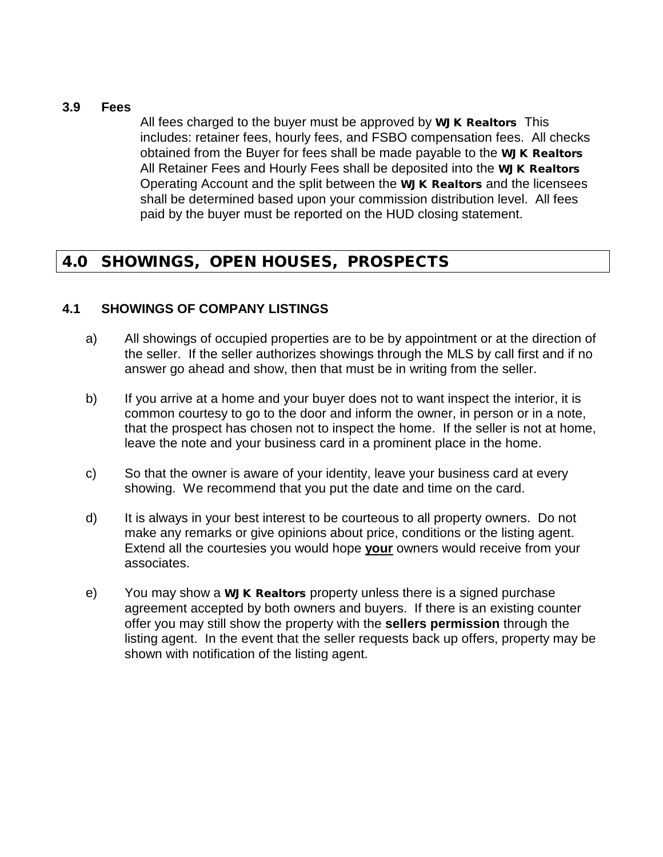#### **3.9 Fees**

All fees charged to the buyer must be approved by **WJK Realtors** This includes: retainer fees, hourly fees, and FSBO compensation fees. All checks obtained from the Buyer for fees shall be made payable to the WJK Realtors All Retainer Fees and Hourly Fees shall be deposited into the WJK Realtors Operating Account and the split between the WJK Realtors and the licensees shall be determined based upon your commission distribution level. All fees paid by the buyer must be reported on the HUD closing statement.

## 4.0 SHOWINGS, OPEN HOUSES, PROSPECTS

#### **4.1 SHOWINGS OF COMPANY LISTINGS**

- a) All showings of occupied properties are to be by appointment or at the direction of the seller. If the seller authorizes showings through the MLS by call first and if no answer go ahead and show, then that must be in writing from the seller.
- b) If you arrive at a home and your buyer does not to want inspect the interior, it is common courtesy to go to the door and inform the owner, in person or in a note, that the prospect has chosen not to inspect the home. If the seller is not at home, leave the note and your business card in a prominent place in the home.
- c) So that the owner is aware of your identity, leave your business card at every showing. We recommend that you put the date and time on the card.
- d) It is always in your best interest to be courteous to all property owners. Do not make any remarks or give opinions about price, conditions or the listing agent. Extend all the courtesies you would hope **your** owners would receive from your associates.
- e) You may show a **WJK Realtors** property unless there is a signed purchase agreement accepted by both owners and buyers. If there is an existing counter offer you may still show the property with the **sellers permission** through the listing agent. In the event that the seller requests back up offers, property may be shown with notification of the listing agent.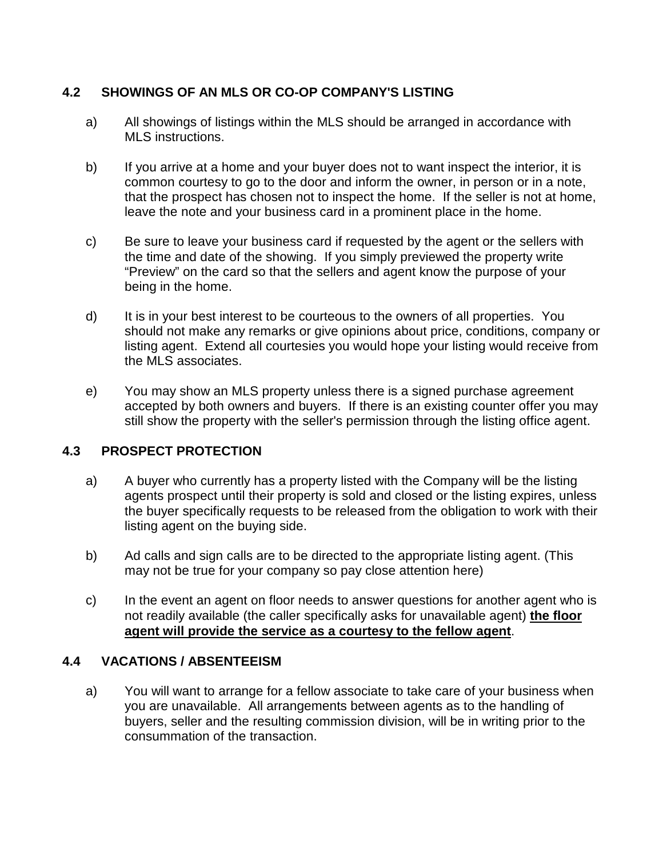## **4.2 SHOWINGS OF AN MLS OR CO-OP COMPANY'S LISTING**

- a) All showings of listings within the MLS should be arranged in accordance with MLS instructions.
- b) If you arrive at a home and your buyer does not to want inspect the interior, it is common courtesy to go to the door and inform the owner, in person or in a note, that the prospect has chosen not to inspect the home. If the seller is not at home, leave the note and your business card in a prominent place in the home.
- c) Be sure to leave your business card if requested by the agent or the sellers with the time and date of the showing. If you simply previewed the property write "Preview" on the card so that the sellers and agent know the purpose of your being in the home.
- d) It is in your best interest to be courteous to the owners of all properties. You should not make any remarks or give opinions about price, conditions, company or listing agent. Extend all courtesies you would hope your listing would receive from the MLS associates.
- e) You may show an MLS property unless there is a signed purchase agreement accepted by both owners and buyers. If there is an existing counter offer you may still show the property with the seller's permission through the listing office agent.

## **4.3 PROSPECT PROTECTION**

- a) A buyer who currently has a property listed with the Company will be the listing agents prospect until their property is sold and closed or the listing expires, unless the buyer specifically requests to be released from the obligation to work with their listing agent on the buying side.
- b) Ad calls and sign calls are to be directed to the appropriate listing agent. (This may not be true for your company so pay close attention here)
- c) In the event an agent on floor needs to answer questions for another agent who is not readily available (the caller specifically asks for unavailable agent) **the floor agent will provide the service as a courtesy to the fellow agent**.

## **4.4 VACATIONS / ABSENTEEISM**

a) You will want to arrange for a fellow associate to take care of your business when you are unavailable. All arrangements between agents as to the handling of buyers, seller and the resulting commission division, will be in writing prior to the consummation of the transaction.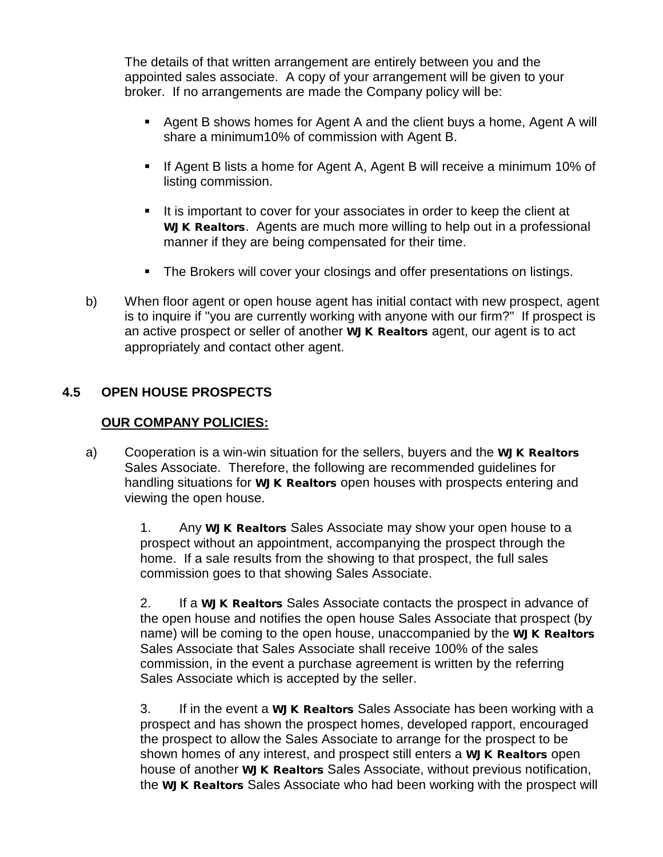The details of that written arrangement are entirely between you and the appointed sales associate. A copy of your arrangement will be given to your broker. If no arrangements are made the Company policy will be:

- Agent B shows homes for Agent A and the client buys a home, Agent A will share a minimum10% of commission with Agent B.
- **If Agent B lists a home for Agent A, Agent B will receive a minimum 10% of** listing commission.
- It is important to cover for your associates in order to keep the client at WJK Realtors. Agents are much more willing to help out in a professional manner if they are being compensated for their time.
- The Brokers will cover your closings and offer presentations on listings.
- b) When floor agent or open house agent has initial contact with new prospect, agent is to inquire if "you are currently working with anyone with our firm?" If prospect is an active prospect or seller of another WJK Realtors agent, our agent is to act appropriately and contact other agent.

## **4.5 OPEN HOUSE PROSPECTS**

### **OUR COMPANY POLICIES:**

a) Cooperation is a win-win situation for the sellers, buyers and the WJK Realtors Sales Associate. Therefore, the following are recommended guidelines for handling situations for WJK Realtors open houses with prospects entering and viewing the open house.

> 1. Any **WJK Realtors** Sales Associate may show your open house to a prospect without an appointment, accompanying the prospect through the home. If a sale results from the showing to that prospect, the full sales commission goes to that showing Sales Associate.

2. If a **WJK Realtors** Sales Associate contacts the prospect in advance of the open house and notifies the open house Sales Associate that prospect (by name) will be coming to the open house, unaccompanied by the WJK Realtors Sales Associate that Sales Associate shall receive 100% of the sales commission, in the event a purchase agreement is written by the referring Sales Associate which is accepted by the seller.

3. If in the event a **WJK Realtors** Sales Associate has been working with a prospect and has shown the prospect homes, developed rapport, encouraged the prospect to allow the Sales Associate to arrange for the prospect to be shown homes of any interest, and prospect still enters a WJK Realtors open house of another **WJK Realtors** Sales Associate, without previous notification, the WJK Realtors Sales Associate who had been working with the prospect will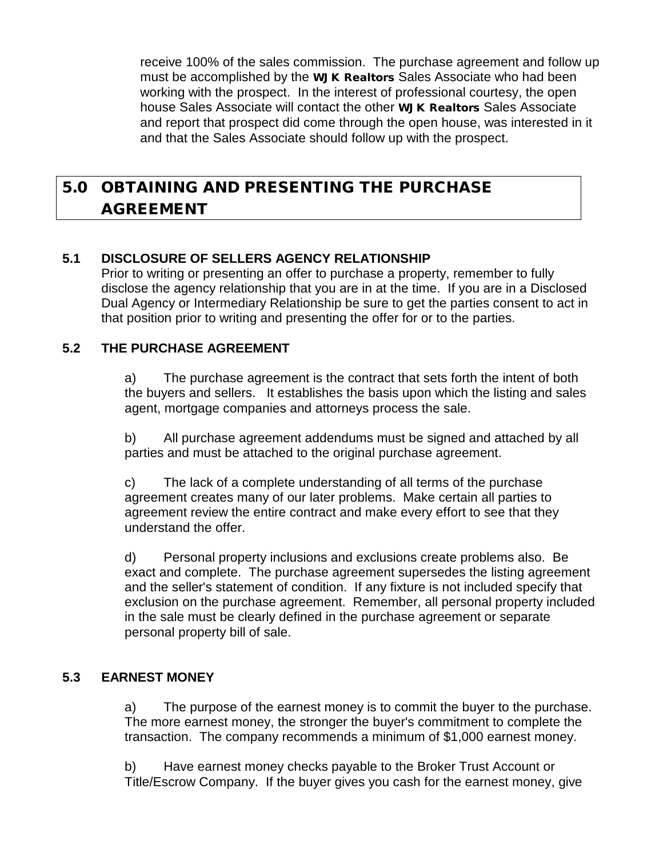receive 100% of the sales commission. The purchase agreement and follow up must be accomplished by the WJK Realtors Sales Associate who had been working with the prospect. In the interest of professional courtesy, the open house Sales Associate will contact the other WJK Realtors Sales Associate and report that prospect did come through the open house, was interested in it and that the Sales Associate should follow up with the prospect.

## 5.0 OBTAINING AND PRESENTING THE PURCHASE AGREEMENT

## **5.1 DISCLOSURE OF SELLERS AGENCY RELATIONSHIP**

Prior to writing or presenting an offer to purchase a property, remember to fully disclose the agency relationship that you are in at the time. If you are in a Disclosed Dual Agency or Intermediary Relationship be sure to get the parties consent to act in that position prior to writing and presenting the offer for or to the parties.

## **5.2 THE PURCHASE AGREEMENT**

a) The purchase agreement is the contract that sets forth the intent of both the buyers and sellers. It establishes the basis upon which the listing and sales agent, mortgage companies and attorneys process the sale.

b) All purchase agreement addendums must be signed and attached by all parties and must be attached to the original purchase agreement.

c) The lack of a complete understanding of all terms of the purchase agreement creates many of our later problems. Make certain all parties to agreement review the entire contract and make every effort to see that they understand the offer.

d) Personal property inclusions and exclusions create problems also. Be exact and complete. The purchase agreement supersedes the listing agreement and the seller's statement of condition. If any fixture is not included specify that exclusion on the purchase agreement. Remember, all personal property included in the sale must be clearly defined in the purchase agreement or separate personal property bill of sale.

## **5.3 EARNEST MONEY**

a) The purpose of the earnest money is to commit the buyer to the purchase. The more earnest money, the stronger the buyer's commitment to complete the transaction. The company recommends a minimum of \$1,000 earnest money.

b) Have earnest money checks payable to the Broker Trust Account or Title/Escrow Company. If the buyer gives you cash for the earnest money, give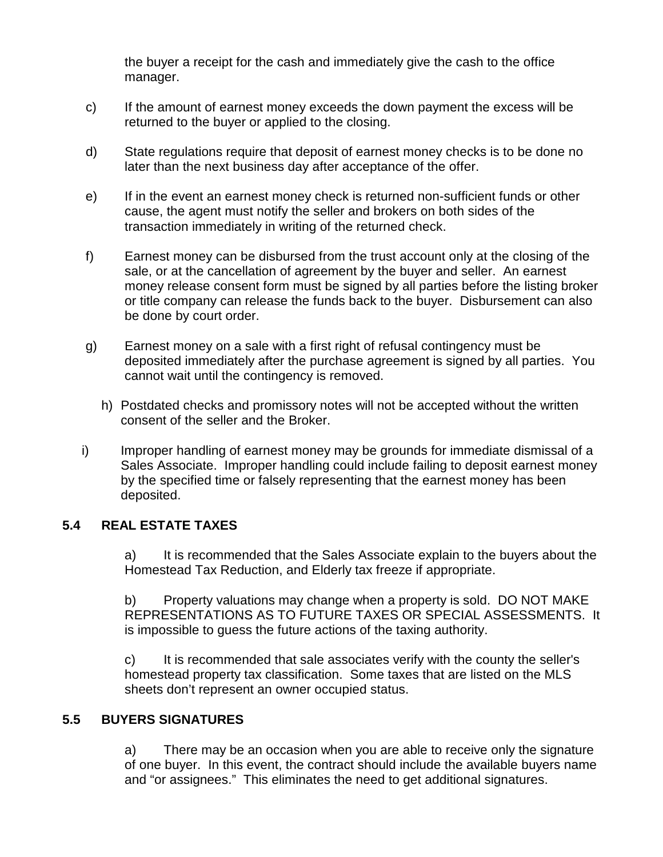the buyer a receipt for the cash and immediately give the cash to the office manager.

- c) If the amount of earnest money exceeds the down payment the excess will be returned to the buyer or applied to the closing.
- d) State regulations require that deposit of earnest money checks is to be done no later than the next business day after acceptance of the offer.
- e) If in the event an earnest money check is returned non-sufficient funds or other cause, the agent must notify the seller and brokers on both sides of the transaction immediately in writing of the returned check.
- f) Earnest money can be disbursed from the trust account only at the closing of the sale, or at the cancellation of agreement by the buyer and seller. An earnest money release consent form must be signed by all parties before the listing broker or title company can release the funds back to the buyer. Disbursement can also be done by court order.
- g) Earnest money on a sale with a first right of refusal contingency must be deposited immediately after the purchase agreement is signed by all parties. You cannot wait until the contingency is removed.
	- h) Postdated checks and promissory notes will not be accepted without the written consent of the seller and the Broker.
- i) Improper handling of earnest money may be grounds for immediate dismissal of a Sales Associate. Improper handling could include failing to deposit earnest money by the specified time or falsely representing that the earnest money has been deposited.

## **5.4 REAL ESTATE TAXES**

a) It is recommended that the Sales Associate explain to the buyers about the Homestead Tax Reduction, and Elderly tax freeze if appropriate.

b) Property valuations may change when a property is sold. DO NOT MAKE REPRESENTATIONS AS TO FUTURE TAXES OR SPECIAL ASSESSMENTS. It is impossible to guess the future actions of the taxing authority.

c) It is recommended that sale associates verify with the county the seller's homestead property tax classification. Some taxes that are listed on the MLS sheets don't represent an owner occupied status.

#### **5.5 BUYERS SIGNATURES**

a) There may be an occasion when you are able to receive only the signature of one buyer. In this event, the contract should include the available buyers name and "or assignees." This eliminates the need to get additional signatures.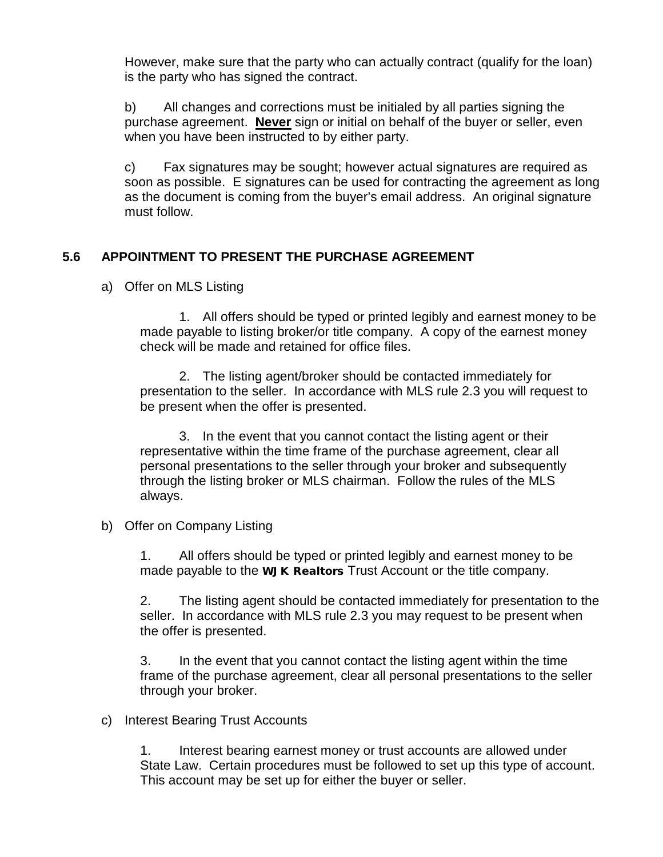However, make sure that the party who can actually contract (qualify for the loan) is the party who has signed the contract.

b) All changes and corrections must be initialed by all parties signing the purchase agreement. **Never** sign or initial on behalf of the buyer or seller, even when you have been instructed to by either party.

c) Fax signatures may be sought; however actual signatures are required as soon as possible. E signatures can be used for contracting the agreement as long as the document is coming from the buyer's email address. An original signature must follow.

## **5.6 APPOINTMENT TO PRESENT THE PURCHASE AGREEMENT**

a) Offer on MLS Listing

1. All offers should be typed or printed legibly and earnest money to be made payable to listing broker/or title company. A copy of the earnest money check will be made and retained for office files.

2. The listing agent/broker should be contacted immediately for presentation to the seller. In accordance with MLS rule 2.3 you will request to be present when the offer is presented.

3. In the event that you cannot contact the listing agent or their representative within the time frame of the purchase agreement, clear all personal presentations to the seller through your broker and subsequently through the listing broker or MLS chairman. Follow the rules of the MLS always.

b) Offer on Company Listing

1. All offers should be typed or printed legibly and earnest money to be made payable to the **WJK Realtors** Trust Account or the title company.

2. The listing agent should be contacted immediately for presentation to the seller. In accordance with MLS rule 2.3 you may request to be present when the offer is presented.

3. In the event that you cannot contact the listing agent within the time frame of the purchase agreement, clear all personal presentations to the seller through your broker.

#### c) Interest Bearing Trust Accounts

1. Interest bearing earnest money or trust accounts are allowed under State Law. Certain procedures must be followed to set up this type of account. This account may be set up for either the buyer or seller.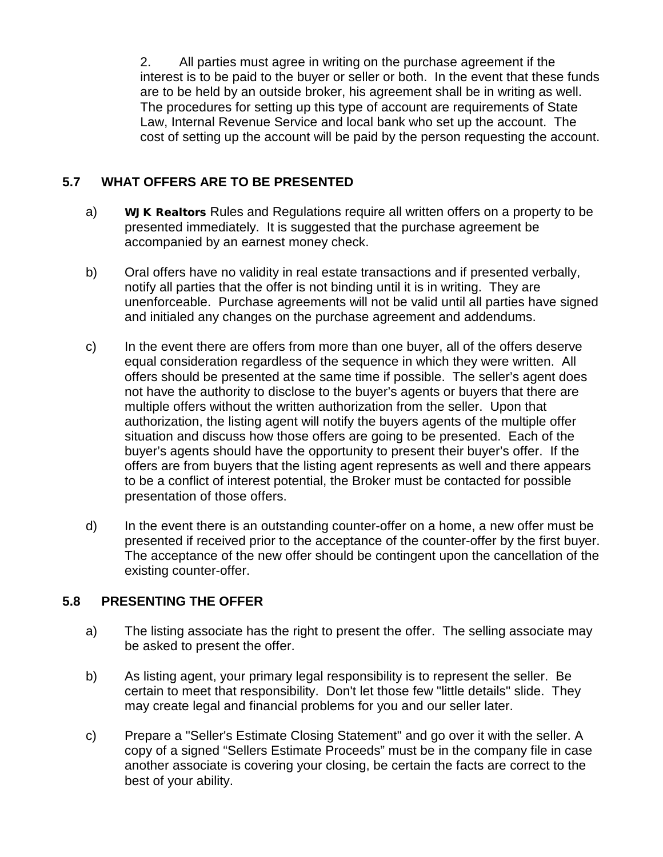2. All parties must agree in writing on the purchase agreement if the interest is to be paid to the buyer or seller or both. In the event that these funds are to be held by an outside broker, his agreement shall be in writing as well. The procedures for setting up this type of account are requirements of State Law, Internal Revenue Service and local bank who set up the account. The cost of setting up the account will be paid by the person requesting the account.

## **5.7 WHAT OFFERS ARE TO BE PRESENTED**

- a) WJK Realtors Rules and Regulations require all written offers on a property to be presented immediately. It is suggested that the purchase agreement be accompanied by an earnest money check.
- b) Oral offers have no validity in real estate transactions and if presented verbally, notify all parties that the offer is not binding until it is in writing. They are unenforceable. Purchase agreements will not be valid until all parties have signed and initialed any changes on the purchase agreement and addendums.
- c) In the event there are offers from more than one buyer, all of the offers deserve equal consideration regardless of the sequence in which they were written. All offers should be presented at the same time if possible. The seller's agent does not have the authority to disclose to the buyer's agents or buyers that there are multiple offers without the written authorization from the seller. Upon that authorization, the listing agent will notify the buyers agents of the multiple offer situation and discuss how those offers are going to be presented. Each of the buyer's agents should have the opportunity to present their buyer's offer. If the offers are from buyers that the listing agent represents as well and there appears to be a conflict of interest potential, the Broker must be contacted for possible presentation of those offers.
- d) In the event there is an outstanding counter-offer on a home, a new offer must be presented if received prior to the acceptance of the counter-offer by the first buyer. The acceptance of the new offer should be contingent upon the cancellation of the existing counter-offer.

## **5.8 PRESENTING THE OFFER**

- a) The listing associate has the right to present the offer. The selling associate may be asked to present the offer.
- b) As listing agent, your primary legal responsibility is to represent the seller. Be certain to meet that responsibility. Don't let those few "little details" slide. They may create legal and financial problems for you and our seller later.
- c) Prepare a "Seller's Estimate Closing Statement" and go over it with the seller. A copy of a signed "Sellers Estimate Proceeds" must be in the company file in case another associate is covering your closing, be certain the facts are correct to the best of your ability.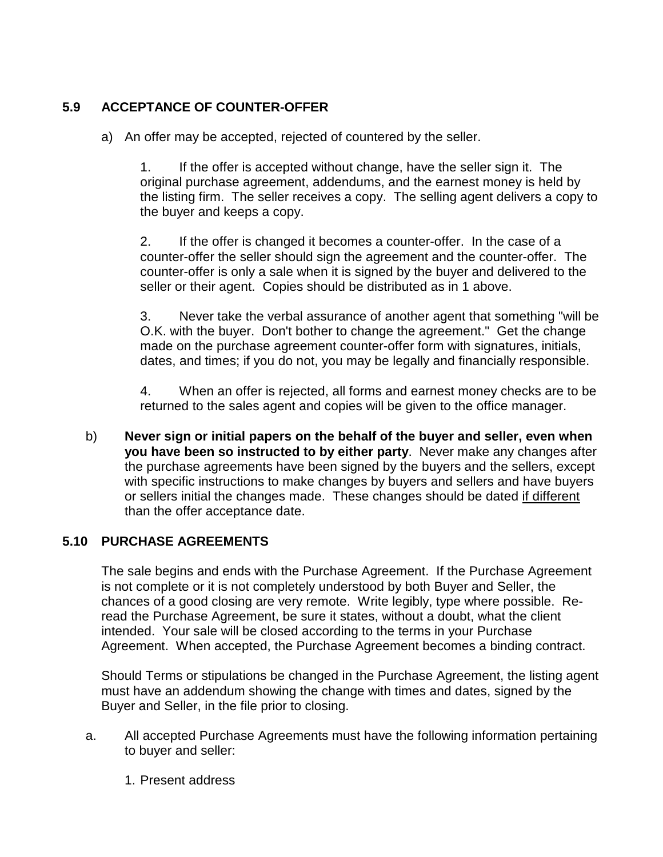## **5.9 ACCEPTANCE OF COUNTER-OFFER**

a) An offer may be accepted, rejected of countered by the seller.

1. If the offer is accepted without change, have the seller sign it. The original purchase agreement, addendums, and the earnest money is held by the listing firm. The seller receives a copy. The selling agent delivers a copy to the buyer and keeps a copy.

2. If the offer is changed it becomes a counter-offer. In the case of a counter-offer the seller should sign the agreement and the counter-offer. The counter-offer is only a sale when it is signed by the buyer and delivered to the seller or their agent. Copies should be distributed as in 1 above.

3. Never take the verbal assurance of another agent that something "will be O.K. with the buyer. Don't bother to change the agreement." Get the change made on the purchase agreement counter-offer form with signatures, initials, dates, and times; if you do not, you may be legally and financially responsible.

4. When an offer is rejected, all forms and earnest money checks are to be returned to the sales agent and copies will be given to the office manager.

b) **Never sign or initial papers on the behalf of the buyer and seller, even when you have been so instructed to by either party**. Never make any changes after the purchase agreements have been signed by the buyers and the sellers, except with specific instructions to make changes by buyers and sellers and have buyers or sellers initial the changes made. These changes should be dated if different than the offer acceptance date.

## **5.10 PURCHASE AGREEMENTS**

The sale begins and ends with the Purchase Agreement. If the Purchase Agreement is not complete or it is not completely understood by both Buyer and Seller, the chances of a good closing are very remote. Write legibly, type where possible. Reread the Purchase Agreement, be sure it states, without a doubt, what the client intended. Your sale will be closed according to the terms in your Purchase Agreement. When accepted, the Purchase Agreement becomes a binding contract.

Should Terms or stipulations be changed in the Purchase Agreement, the listing agent must have an addendum showing the change with times and dates, signed by the Buyer and Seller, in the file prior to closing.

- a. All accepted Purchase Agreements must have the following information pertaining to buyer and seller:
	- 1. Present address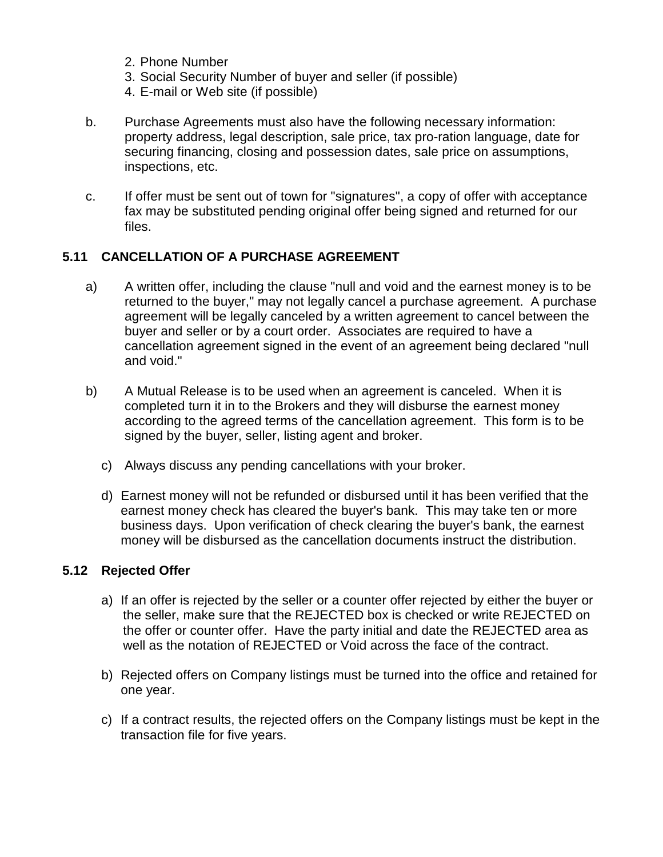- 2. Phone Number
- 3. Social Security Number of buyer and seller (if possible)
- 4. E-mail or Web site (if possible)
- b. Purchase Agreements must also have the following necessary information: property address, legal description, sale price, tax pro-ration language, date for securing financing, closing and possession dates, sale price on assumptions, inspections, etc.
- c. If offer must be sent out of town for "signatures", a copy of offer with acceptance fax may be substituted pending original offer being signed and returned for our files.

#### **5.11 CANCELLATION OF A PURCHASE AGREEMENT**

- a) A written offer, including the clause "null and void and the earnest money is to be returned to the buyer," may not legally cancel a purchase agreement. A purchase agreement will be legally canceled by a written agreement to cancel between the buyer and seller or by a court order. Associates are required to have a cancellation agreement signed in the event of an agreement being declared "null and void."
- b) A Mutual Release is to be used when an agreement is canceled. When it is completed turn it in to the Brokers and they will disburse the earnest money according to the agreed terms of the cancellation agreement. This form is to be signed by the buyer, seller, listing agent and broker.
	- c) Always discuss any pending cancellations with your broker.
	- d) Earnest money will not be refunded or disbursed until it has been verified that the earnest money check has cleared the buyer's bank. This may take ten or more business days. Upon verification of check clearing the buyer's bank, the earnest money will be disbursed as the cancellation documents instruct the distribution.

#### **5.12 Rejected Offer**

- a) If an offer is rejected by the seller or a counter offer rejected by either the buyer or the seller, make sure that the REJECTED box is checked or write REJECTED on the offer or counter offer. Have the party initial and date the REJECTED area as well as the notation of REJECTED or Void across the face of the contract.
- b) Rejected offers on Company listings must be turned into the office and retained for one year.
- c) If a contract results, the rejected offers on the Company listings must be kept in the transaction file for five years.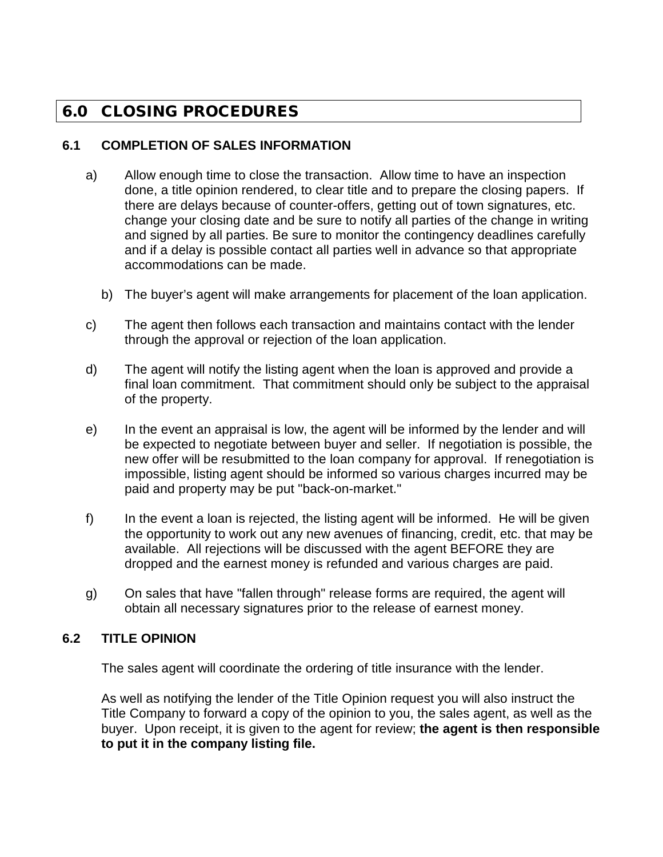## 6.0 CLOSING PROCEDURES

### **6.1 COMPLETION OF SALES INFORMATION**

- a) Allow enough time to close the transaction. Allow time to have an inspection done, a title opinion rendered, to clear title and to prepare the closing papers. If there are delays because of counter-offers, getting out of town signatures, etc. change your closing date and be sure to notify all parties of the change in writing and signed by all parties. Be sure to monitor the contingency deadlines carefully and if a delay is possible contact all parties well in advance so that appropriate accommodations can be made.
	- b) The buyer's agent will make arrangements for placement of the loan application.
- c) The agent then follows each transaction and maintains contact with the lender through the approval or rejection of the loan application.
- d) The agent will notify the listing agent when the loan is approved and provide a final loan commitment. That commitment should only be subject to the appraisal of the property.
- e) In the event an appraisal is low, the agent will be informed by the lender and will be expected to negotiate between buyer and seller. If negotiation is possible, the new offer will be resubmitted to the loan company for approval. If renegotiation is impossible, listing agent should be informed so various charges incurred may be paid and property may be put "back-on-market."
- f) In the event a loan is rejected, the listing agent will be informed. He will be given the opportunity to work out any new avenues of financing, credit, etc. that may be available. All rejections will be discussed with the agent BEFORE they are dropped and the earnest money is refunded and various charges are paid.
- g) On sales that have "fallen through" release forms are required, the agent will obtain all necessary signatures prior to the release of earnest money.

## **6.2 TITLE OPINION**

The sales agent will coordinate the ordering of title insurance with the lender.

As well as notifying the lender of the Title Opinion request you will also instruct the Title Company to forward a copy of the opinion to you, the sales agent, as well as the buyer. Upon receipt, it is given to the agent for review; **the agent is then responsible to put it in the company listing file.**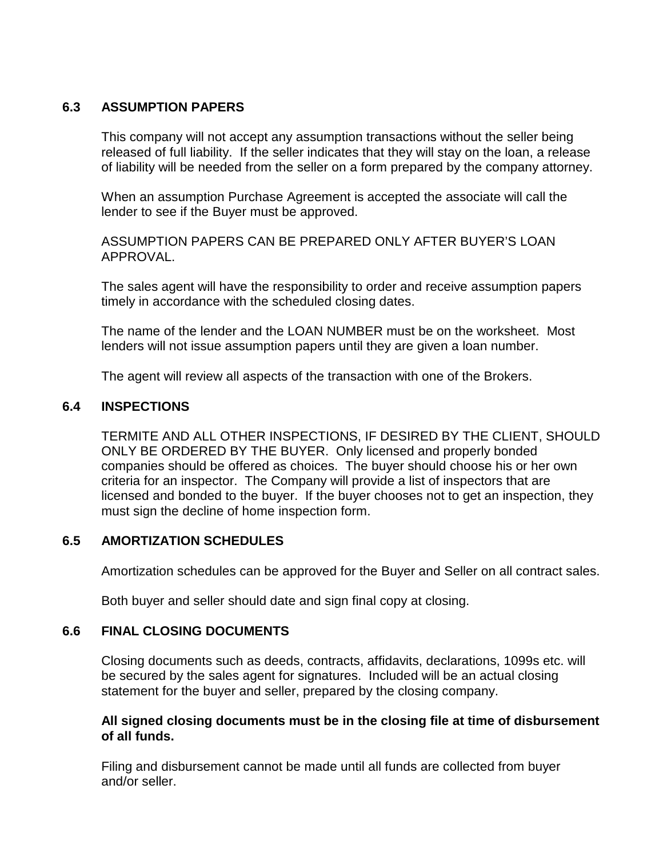#### **6.3 ASSUMPTION PAPERS**

This company will not accept any assumption transactions without the seller being released of full liability. If the seller indicates that they will stay on the loan, a release of liability will be needed from the seller on a form prepared by the company attorney.

When an assumption Purchase Agreement is accepted the associate will call the lender to see if the Buyer must be approved.

ASSUMPTION PAPERS CAN BE PREPARED ONLY AFTER BUYER'S LOAN APPROVAL.

The sales agent will have the responsibility to order and receive assumption papers timely in accordance with the scheduled closing dates.

The name of the lender and the LOAN NUMBER must be on the worksheet. Most lenders will not issue assumption papers until they are given a loan number.

The agent will review all aspects of the transaction with one of the Brokers.

#### **6.4 INSPECTIONS**

TERMITE AND ALL OTHER INSPECTIONS, IF DESIRED BY THE CLIENT, SHOULD ONLY BE ORDERED BY THE BUYER. Only licensed and properly bonded companies should be offered as choices. The buyer should choose his or her own criteria for an inspector. The Company will provide a list of inspectors that are licensed and bonded to the buyer. If the buyer chooses not to get an inspection, they must sign the decline of home inspection form.

#### **6.5 AMORTIZATION SCHEDULES**

Amortization schedules can be approved for the Buyer and Seller on all contract sales.

Both buyer and seller should date and sign final copy at closing.

#### **6.6 FINAL CLOSING DOCUMENTS**

Closing documents such as deeds, contracts, affidavits, declarations, 1099s etc. will be secured by the sales agent for signatures. Included will be an actual closing statement for the buyer and seller, prepared by the closing company.

#### **All signed closing documents must be in the closing file at time of disbursement of all funds.**

Filing and disbursement cannot be made until all funds are collected from buyer and/or seller.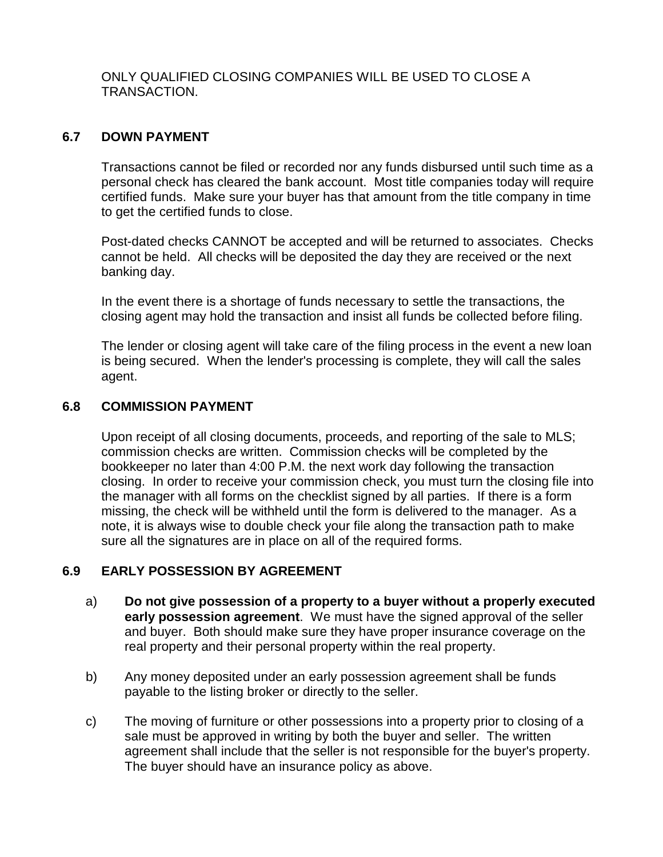#### ONLY QUALIFIED CLOSING COMPANIES WILL BE USED TO CLOSE A TRANSACTION.

### **6.7 DOWN PAYMENT**

Transactions cannot be filed or recorded nor any funds disbursed until such time as a personal check has cleared the bank account. Most title companies today will require certified funds. Make sure your buyer has that amount from the title company in time to get the certified funds to close.

Post-dated checks CANNOT be accepted and will be returned to associates. Checks cannot be held. All checks will be deposited the day they are received or the next banking day.

In the event there is a shortage of funds necessary to settle the transactions, the closing agent may hold the transaction and insist all funds be collected before filing.

The lender or closing agent will take care of the filing process in the event a new loan is being secured. When the lender's processing is complete, they will call the sales agent.

#### **6.8 COMMISSION PAYMENT**

Upon receipt of all closing documents, proceeds, and reporting of the sale to MLS; commission checks are written. Commission checks will be completed by the bookkeeper no later than 4:00 P.M. the next work day following the transaction closing. In order to receive your commission check, you must turn the closing file into the manager with all forms on the checklist signed by all parties. If there is a form missing, the check will be withheld until the form is delivered to the manager. As a note, it is always wise to double check your file along the transaction path to make sure all the signatures are in place on all of the required forms.

#### **6.9 EARLY POSSESSION BY AGREEMENT**

- a) **Do not give possession of a property to a buyer without a properly executed early possession agreement**. We must have the signed approval of the seller and buyer. Both should make sure they have proper insurance coverage on the real property and their personal property within the real property.
- b) Any money deposited under an early possession agreement shall be funds payable to the listing broker or directly to the seller.
- c) The moving of furniture or other possessions into a property prior to closing of a sale must be approved in writing by both the buyer and seller. The written agreement shall include that the seller is not responsible for the buyer's property. The buyer should have an insurance policy as above.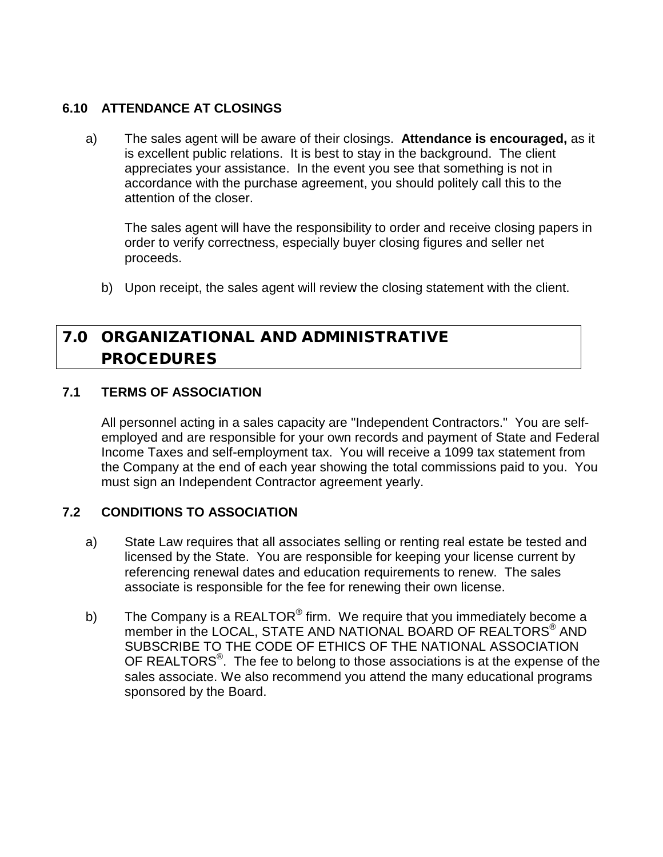#### **6.10 ATTENDANCE AT CLOSINGS**

a) The sales agent will be aware of their closings. **Attendance is encouraged,** as it is excellent public relations. It is best to stay in the background. The client appreciates your assistance. In the event you see that something is not in accordance with the purchase agreement, you should politely call this to the attention of the closer.

The sales agent will have the responsibility to order and receive closing papers in order to verify correctness, especially buyer closing figures and seller net proceeds.

b) Upon receipt, the sales agent will review the closing statement with the client.

## 7.0 ORGANIZATIONAL AND ADMINISTRATIVE PROCEDURES

## **7.1 TERMS OF ASSOCIATION**

All personnel acting in a sales capacity are "Independent Contractors." You are selfemployed and are responsible for your own records and payment of State and Federal Income Taxes and self-employment tax. You will receive a 1099 tax statement from the Company at the end of each year showing the total commissions paid to you. You must sign an Independent Contractor agreement yearly.

## **7.2 CONDITIONS TO ASSOCIATION**

- a) State Law requires that all associates selling or renting real estate be tested and licensed by the State. You are responsible for keeping your license current by referencing renewal dates and education requirements to renew. The sales associate is responsible for the fee for renewing their own license.
- b) The Company is a REALTOR<sup>®</sup> firm. We require that you immediately become a member in the LOCAL, STATE AND NATIONAL BOARD OF REALTORS<sup>®</sup> AND SUBSCRIBE TO THE CODE OF ETHICS OF THE NATIONAL ASSOCIATION OF REALTORS $^{\circ}$ . The fee to belong to those associations is at the expense of the sales associate. We also recommend you attend the many educational programs sponsored by the Board.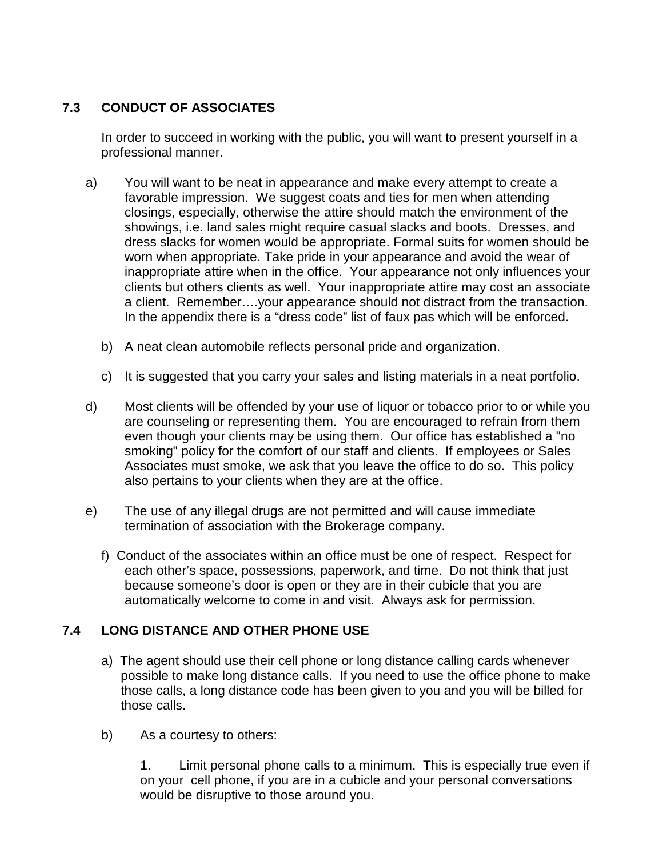## **7.3 CONDUCT OF ASSOCIATES**

In order to succeed in working with the public, you will want to present yourself in a professional manner.

- a) You will want to be neat in appearance and make every attempt to create a favorable impression. We suggest coats and ties for men when attending closings, especially, otherwise the attire should match the environment of the showings, i.e. land sales might require casual slacks and boots. Dresses, and dress slacks for women would be appropriate. Formal suits for women should be worn when appropriate. Take pride in your appearance and avoid the wear of inappropriate attire when in the office. Your appearance not only influences your clients but others clients as well. Your inappropriate attire may cost an associate a client. Remember….your appearance should not distract from the transaction. In the appendix there is a "dress code" list of faux pas which will be enforced.
	- b) A neat clean automobile reflects personal pride and organization.
	- c) It is suggested that you carry your sales and listing materials in a neat portfolio.
- d) Most clients will be offended by your use of liquor or tobacco prior to or while you are counseling or representing them. You are encouraged to refrain from them even though your clients may be using them. Our office has established a "no smoking" policy for the comfort of our staff and clients. If employees or Sales Associates must smoke, we ask that you leave the office to do so. This policy also pertains to your clients when they are at the office.
- e) The use of any illegal drugs are not permitted and will cause immediate termination of association with the Brokerage company.
	- f) Conduct of the associates within an office must be one of respect. Respect for each other's space, possessions, paperwork, and time. Do not think that just because someone's door is open or they are in their cubicle that you are automatically welcome to come in and visit. Always ask for permission.

## **7.4 LONG DISTANCE AND OTHER PHONE USE**

- a) The agent should use their cell phone or long distance calling cards whenever possible to make long distance calls. If you need to use the office phone to make those calls, a long distance code has been given to you and you will be billed for those calls.
- b) As a courtesy to others:

1. Limit personal phone calls to a minimum. This is especially true even if on your cell phone, if you are in a cubicle and your personal conversations would be disruptive to those around you.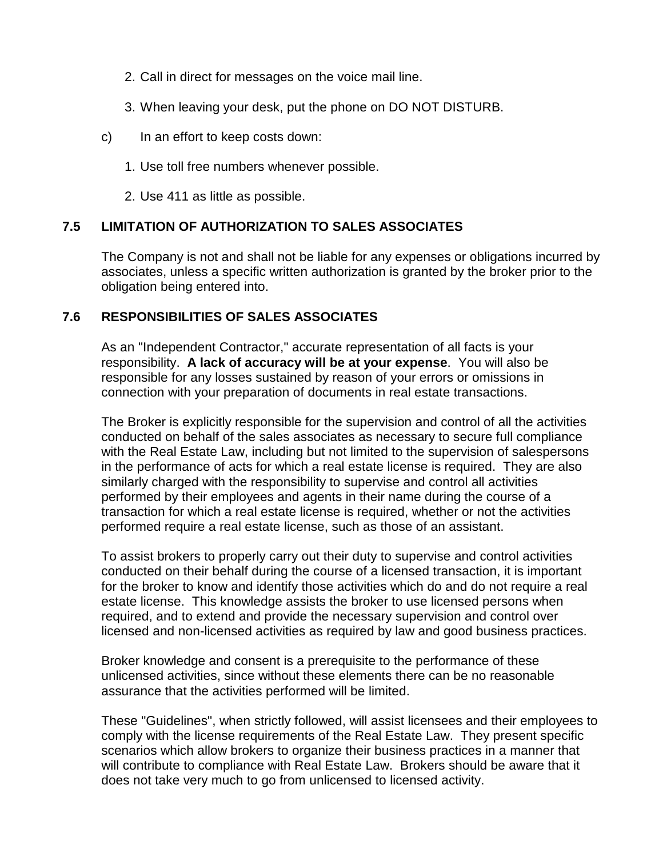- 2. Call in direct for messages on the voice mail line.
- 3. When leaving your desk, put the phone on DO NOT DISTURB.
- c) In an effort to keep costs down:
	- 1. Use toll free numbers whenever possible.
	- 2. Use 411 as little as possible.

## **7.5 LIMITATION OF AUTHORIZATION TO SALES ASSOCIATES**

The Company is not and shall not be liable for any expenses or obligations incurred by associates, unless a specific written authorization is granted by the broker prior to the obligation being entered into.

## **7.6 RESPONSIBILITIES OF SALES ASSOCIATES**

As an "Independent Contractor," accurate representation of all facts is your responsibility. **A lack of accuracy will be at your expense**. You will also be responsible for any losses sustained by reason of your errors or omissions in connection with your preparation of documents in real estate transactions.

The Broker is explicitly responsible for the supervision and control of all the activities conducted on behalf of the sales associates as necessary to secure full compliance with the Real Estate Law, including but not limited to the supervision of salespersons in the performance of acts for which a real estate license is required. They are also similarly charged with the responsibility to supervise and control all activities performed by their employees and agents in their name during the course of a transaction for which a real estate license is required, whether or not the activities performed require a real estate license, such as those of an assistant.

To assist brokers to properly carry out their duty to supervise and control activities conducted on their behalf during the course of a licensed transaction, it is important for the broker to know and identify those activities which do and do not require a real estate license. This knowledge assists the broker to use licensed persons when required, and to extend and provide the necessary supervision and control over licensed and non-licensed activities as required by law and good business practices.

Broker knowledge and consent is a prerequisite to the performance of these unlicensed activities, since without these elements there can be no reasonable assurance that the activities performed will be limited.

These "Guidelines", when strictly followed, will assist licensees and their employees to comply with the license requirements of the Real Estate Law. They present specific scenarios which allow brokers to organize their business practices in a manner that will contribute to compliance with Real Estate Law. Brokers should be aware that it does not take very much to go from unlicensed to licensed activity.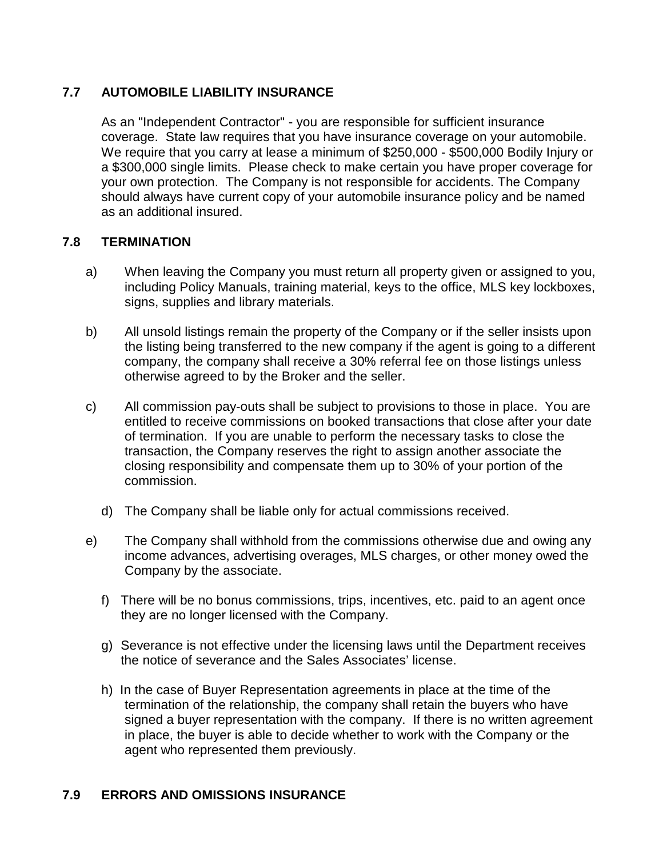## **7.7 AUTOMOBILE LIABILITY INSURANCE**

As an "Independent Contractor" - you are responsible for sufficient insurance coverage. State law requires that you have insurance coverage on your automobile. We require that you carry at lease a minimum of \$250,000 - \$500,000 Bodily Injury or a \$300,000 single limits. Please check to make certain you have proper coverage for your own protection. The Company is not responsible for accidents. The Company should always have current copy of your automobile insurance policy and be named as an additional insured.

#### **7.8 TERMINATION**

- a) When leaving the Company you must return all property given or assigned to you, including Policy Manuals, training material, keys to the office, MLS key lockboxes, signs, supplies and library materials.
- b) All unsold listings remain the property of the Company or if the seller insists upon the listing being transferred to the new company if the agent is going to a different company, the company shall receive a 30% referral fee on those listings unless otherwise agreed to by the Broker and the seller.
- c) All commission pay-outs shall be subject to provisions to those in place. You are entitled to receive commissions on booked transactions that close after your date of termination. If you are unable to perform the necessary tasks to close the transaction, the Company reserves the right to assign another associate the closing responsibility and compensate them up to 30% of your portion of the commission.
	- d) The Company shall be liable only for actual commissions received.
- e) The Company shall withhold from the commissions otherwise due and owing any income advances, advertising overages, MLS charges, or other money owed the Company by the associate.
	- f) There will be no bonus commissions, trips, incentives, etc. paid to an agent once they are no longer licensed with the Company.
	- g) Severance is not effective under the licensing laws until the Department receives the notice of severance and the Sales Associates' license.
	- h) In the case of Buyer Representation agreements in place at the time of the termination of the relationship, the company shall retain the buyers who have signed a buyer representation with the company. If there is no written agreement in place, the buyer is able to decide whether to work with the Company or the agent who represented them previously.

## **7.9 ERRORS AND OMISSIONS INSURANCE**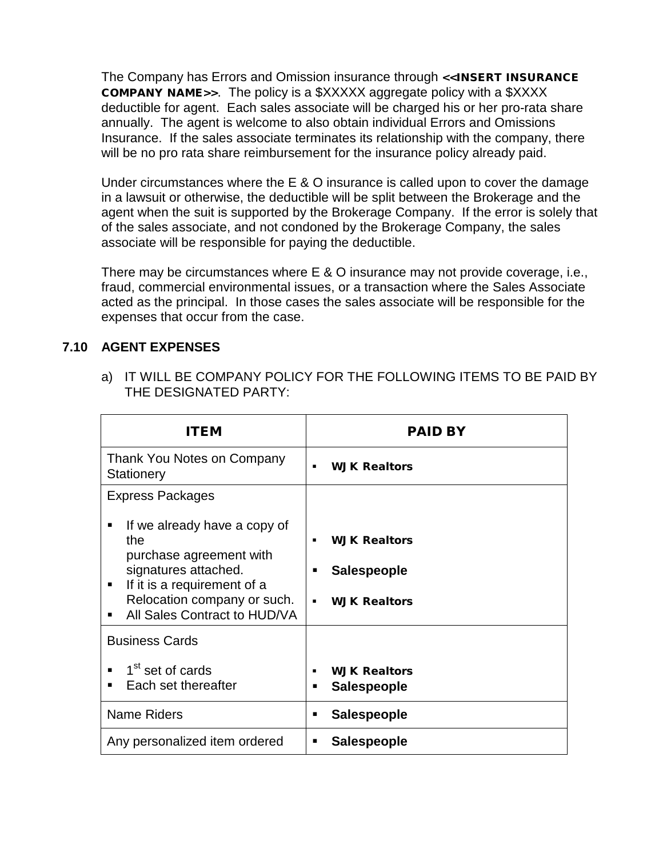The Company has Errors and Omission insurance through <<INSERT INSURANCE COMPANY NAME>>. The policy is a \$XXXXX aggregate policy with a \$XXXX deductible for agent. Each sales associate will be charged his or her pro-rata share annually. The agent is welcome to also obtain individual Errors and Omissions Insurance. If the sales associate terminates its relationship with the company, there will be no pro rata share reimbursement for the insurance policy already paid.

Under circumstances where the E & O insurance is called upon to cover the damage in a lawsuit or otherwise, the deductible will be split between the Brokerage and the agent when the suit is supported by the Brokerage Company. If the error is solely that of the sales associate, and not condoned by the Brokerage Company, the sales associate will be responsible for paying the deductible.

There may be circumstances where E & O insurance may not provide coverage, i.e., fraud, commercial environmental issues, or a transaction where the Sales Associate acted as the principal. In those cases the sales associate will be responsible for the expenses that occur from the case.

## **7.10 AGENT EXPENSES**

a) IT WILL BE COMPANY POLICY FOR THE FOLLOWING ITEMS TO BE PAID BY THE DESIGNATED PARTY:

| ITEM                                                                                                               | <b>PAID BY</b>                                 |
|--------------------------------------------------------------------------------------------------------------------|------------------------------------------------|
| Thank You Notes on Company<br><b>Stationery</b>                                                                    | <b>WJK Realtors</b><br>٠                       |
| <b>Express Packages</b>                                                                                            |                                                |
| If we already have a copy of<br>the<br>purchase agreement with                                                     | <b>WJK Realtors</b>                            |
| signatures attached.<br>If it is a requirement of a<br>Relocation company or such.<br>All Sales Contract to HUD/VA | <b>Salespeople</b><br><b>WJK Realtors</b><br>٠ |
| <b>Business Cards</b>                                                                                              |                                                |
| 1 <sup>st</sup> set of cards<br>Each set thereafter                                                                | <b>WJK Realtors</b><br><b>Salespeople</b><br>٠ |
| <b>Name Riders</b>                                                                                                 | <b>Salespeople</b><br>٠                        |
| Any personalized item ordered                                                                                      | <b>Salespeople</b><br>п                        |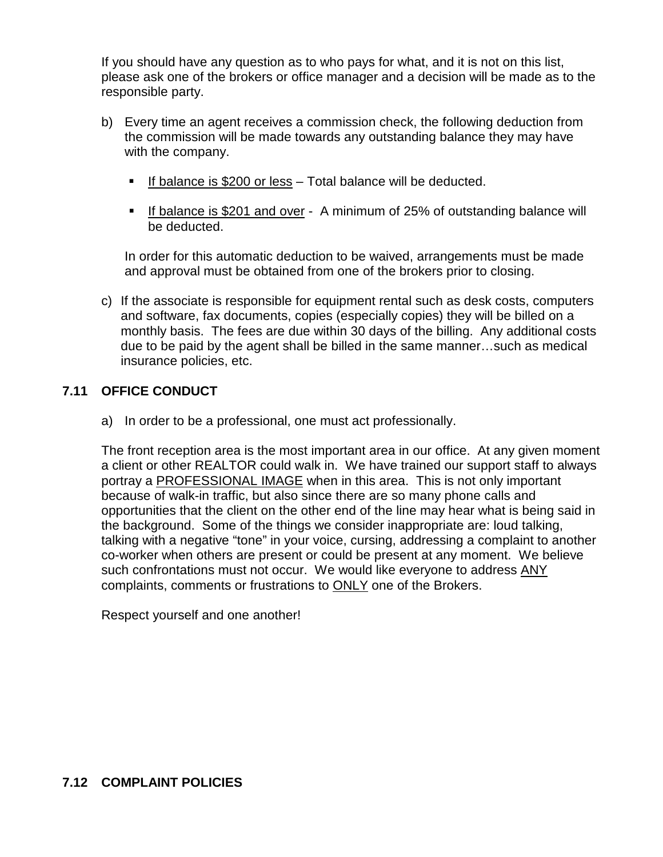If you should have any question as to who pays for what, and it is not on this list, please ask one of the brokers or office manager and a decision will be made as to the responsible party.

- b) Every time an agent receives a commission check, the following deduction from the commission will be made towards any outstanding balance they may have with the company.
	- If balance is  $$200$  or less Total balance will be deducted.
	- If balance is \$201 and over A minimum of 25% of outstanding balance will be deducted.

In order for this automatic deduction to be waived, arrangements must be made and approval must be obtained from one of the brokers prior to closing.

c) If the associate is responsible for equipment rental such as desk costs, computers and software, fax documents, copies (especially copies) they will be billed on a monthly basis. The fees are due within 30 days of the billing. Any additional costs due to be paid by the agent shall be billed in the same manner…such as medical insurance policies, etc.

#### **7.11 OFFICE CONDUCT**

a) In order to be a professional, one must act professionally.

The front reception area is the most important area in our office. At any given moment a client or other REALTOR could walk in. We have trained our support staff to always portray a PROFESSIONAL IMAGE when in this area. This is not only important because of walk-in traffic, but also since there are so many phone calls and opportunities that the client on the other end of the line may hear what is being said in the background. Some of the things we consider inappropriate are: loud talking, talking with a negative "tone" in your voice, cursing, addressing a complaint to another co-worker when others are present or could be present at any moment. We believe such confrontations must not occur. We would like everyone to address ANY complaints, comments or frustrations to ONLY one of the Brokers.

Respect yourself and one another!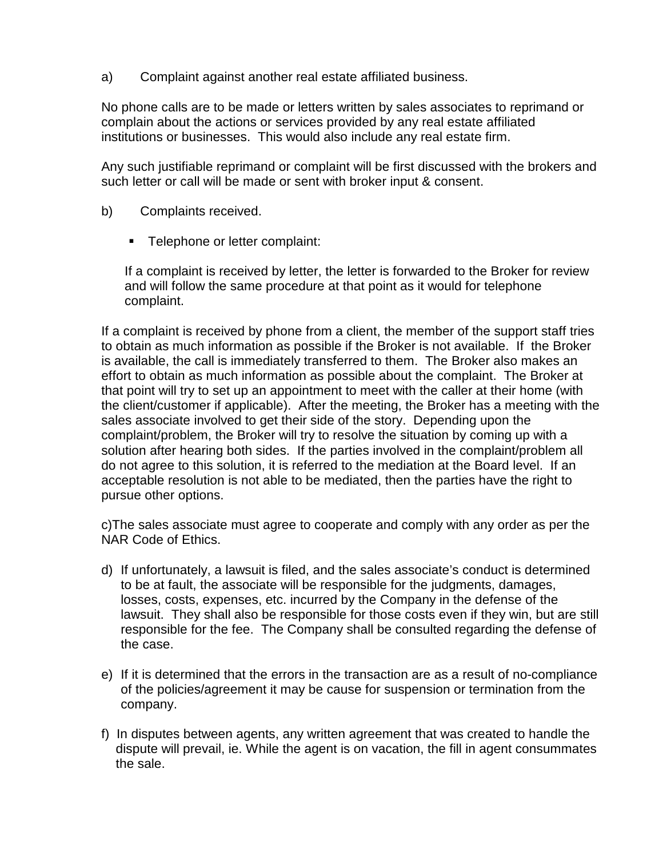a) Complaint against another real estate affiliated business.

No phone calls are to be made or letters written by sales associates to reprimand or complain about the actions or services provided by any real estate affiliated institutions or businesses. This would also include any real estate firm.

Any such justifiable reprimand or complaint will be first discussed with the brokers and such letter or call will be made or sent with broker input & consent.

- b) Complaints received.
	- **Telephone or letter complaint:**

If a complaint is received by letter, the letter is forwarded to the Broker for review and will follow the same procedure at that point as it would for telephone complaint.

If a complaint is received by phone from a client, the member of the support staff tries to obtain as much information as possible if the Broker is not available. If the Broker is available, the call is immediately transferred to them. The Broker also makes an effort to obtain as much information as possible about the complaint. The Broker at that point will try to set up an appointment to meet with the caller at their home (with the client/customer if applicable). After the meeting, the Broker has a meeting with the sales associate involved to get their side of the story. Depending upon the complaint/problem, the Broker will try to resolve the situation by coming up with a solution after hearing both sides. If the parties involved in the complaint/problem all do not agree to this solution, it is referred to the mediation at the Board level. If an acceptable resolution is not able to be mediated, then the parties have the right to pursue other options.

c)The sales associate must agree to cooperate and comply with any order as per the NAR Code of Ethics.

- d) If unfortunately, a lawsuit is filed, and the sales associate's conduct is determined to be at fault, the associate will be responsible for the judgments, damages, losses, costs, expenses, etc. incurred by the Company in the defense of the lawsuit. They shall also be responsible for those costs even if they win, but are still responsible for the fee. The Company shall be consulted regarding the defense of the case.
- e) If it is determined that the errors in the transaction are as a result of no-compliance of the policies/agreement it may be cause for suspension or termination from the company.
- f) In disputes between agents, any written agreement that was created to handle the dispute will prevail, ie. While the agent is on vacation, the fill in agent consummates the sale.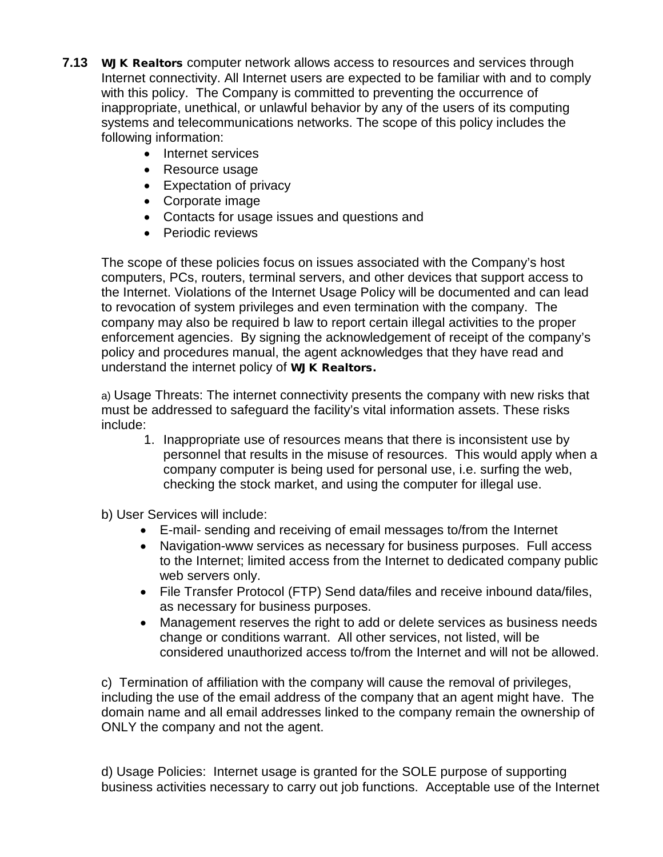- **7.13** WJK Realtors computer network allows access to resources and services through Internet connectivity. All Internet users are expected to be familiar with and to comply with this policy.The Company is committed to preventing the occurrence of inappropriate, unethical, or unlawful behavior by any of the users of its computing systems and telecommunications networks. The scope of this policy includes the following information:
	- Internet services
	- Resource usage
	- Expectation of privacy
	- Corporate image
	- Contacts for usage issues and questions and
	- Periodic reviews

The scope of these policies focus on issues associated with the Company's host computers, PCs, routers, terminal servers, and other devices that support access to the Internet. Violations of the Internet Usage Policy will be documented and can lead to revocation of system privileges and even termination with the company. The company may also be required b law to report certain illegal activities to the proper enforcement agencies. By signing the acknowledgement of receipt of the company's policy and procedures manual, the agent acknowledges that they have read and understand the internet policy of WJK Realtors.

a) Usage Threats: The internet connectivity presents the company with new risks that must be addressed to safeguard the facility's vital information assets. These risks include:

1. Inappropriate use of resources means that there is inconsistent use by personnel that results in the misuse of resources. This would apply when a company computer is being used for personal use, i.e. surfing the web, checking the stock market, and using the computer for illegal use.

b) User Services will include:

- E-mail- sending and receiving of email messages to/from the Internet
- Navigation-www services as necessary for business purposes. Full access to the Internet; limited access from the Internet to dedicated company public web servers only.
- File Transfer Protocol (FTP) Send data/files and receive inbound data/files, as necessary for business purposes.
- Management reserves the right to add or delete services as business needs change or conditions warrant. All other services, not listed, will be considered unauthorized access to/from the Internet and will not be allowed.

c) Termination of affiliation with the company will cause the removal of privileges, including the use of the email address of the company that an agent might have. The domain name and all email addresses linked to the company remain the ownership of ONLY the company and not the agent.

d) Usage Policies: Internet usage is granted for the SOLE purpose of supporting business activities necessary to carry out job functions. Acceptable use of the Internet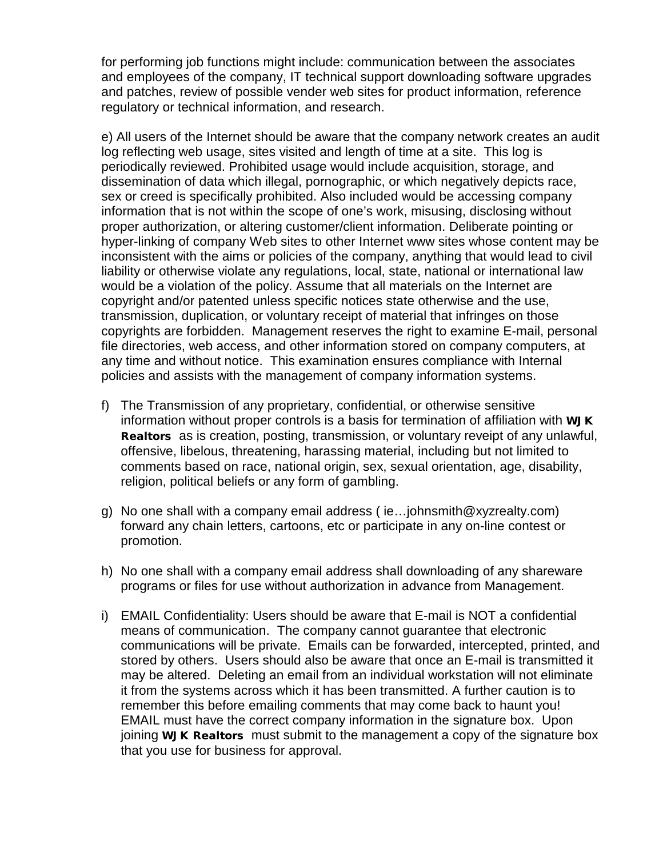for performing job functions might include: communication between the associates and employees of the company, IT technical support downloading software upgrades and patches, review of possible vender web sites for product information, reference regulatory or technical information, and research.

e) All users of the Internet should be aware that the company network creates an audit log reflecting web usage, sites visited and length of time at a site. This log is periodically reviewed. Prohibited usage would include acquisition, storage, and dissemination of data which illegal, pornographic, or which negatively depicts race, sex or creed is specifically prohibited. Also included would be accessing company information that is not within the scope of one's work, misusing, disclosing without proper authorization, or altering customer/client information. Deliberate pointing or hyper-linking of company Web sites to other Internet www sites whose content may be inconsistent with the aims or policies of the company, anything that would lead to civil liability or otherwise violate any regulations, local, state, national or international law would be a violation of the policy. Assume that all materials on the Internet are copyright and/or patented unless specific notices state otherwise and the use, transmission, duplication, or voluntary receipt of material that infringes on those copyrights are forbidden. Management reserves the right to examine E-mail, personal file directories, web access, and other information stored on company computers, at any time and without notice. This examination ensures compliance with Internal policies and assists with the management of company information systems.

- f) The Transmission of any proprietary, confidential, or otherwise sensitive information without proper controls is a basis for termination of affiliation with **WJK** Realtors as is creation, posting, transmission, or voluntary reveipt of any unlawful, offensive, libelous, threatening, harassing material, including but not limited to comments based on race, national origin, sex, sexual orientation, age, disability, religion, political beliefs or any form of gambling.
- g) No one shall with a company email address ( ie…johnsmith@xyzrealty.com) forward any chain letters, cartoons, etc or participate in any on-line contest or promotion.
- h) No one shall with a company email address shall downloading of any shareware programs or files for use without authorization in advance from Management.
- i) EMAIL Confidentiality: Users should be aware that E-mail is NOT a confidential means of communication. The company cannot guarantee that electronic communications will be private. Emails can be forwarded, intercepted, printed, and stored by others. Users should also be aware that once an E-mail is transmitted it may be altered. Deleting an email from an individual workstation will not eliminate it from the systems across which it has been transmitted. A further caution is to remember this before emailing comments that may come back to haunt you! EMAIL must have the correct company information in the signature box. Upon joining WJK Realtors must submit to the management a copy of the signature box that you use for business for approval.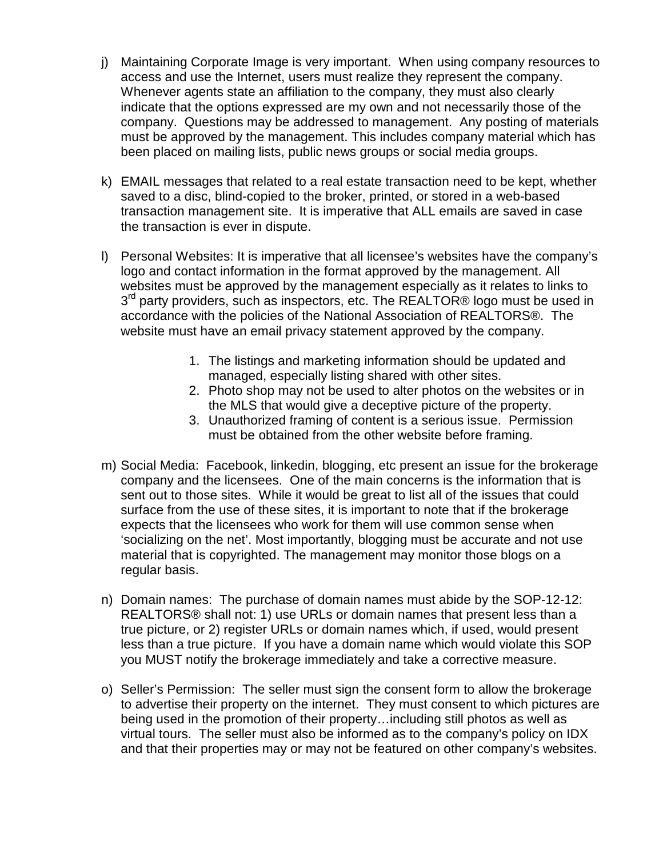- j) Maintaining Corporate Image is very important. When using company resources to access and use the Internet, users must realize they represent the company. Whenever agents state an affiliation to the company, they must also clearly indicate that the options expressed are my own and not necessarily those of the company. Questions may be addressed to management. Any posting of materials must be approved by the management. This includes company material which has been placed on mailing lists, public news groups or social media groups.
- k) EMAIL messages that related to a real estate transaction need to be kept, whether saved to a disc, blind-copied to the broker, printed, or stored in a web-based transaction management site. It is imperative that ALL emails are saved in case the transaction is ever in dispute.
- l) Personal Websites: It is imperative that all licensee's websites have the company's logo and contact information in the format approved by the management. All websites must be approved by the management especially as it relates to links to 3<sup>rd</sup> party providers, such as inspectors, etc. The REALTOR® logo must be used in accordance with the policies of the National Association of REALTORS®. The website must have an email privacy statement approved by the company.
	- 1. The listings and marketing information should be updated and managed, especially listing shared with other sites.
	- 2. Photo shop may not be used to alter photos on the websites or in the MLS that would give a deceptive picture of the property.
	- 3. Unauthorized framing of content is a serious issue. Permission must be obtained from the other website before framing.
- m) Social Media: Facebook, linkedin, blogging, etc present an issue for the brokerage company and the licensees. One of the main concerns is the information that is sent out to those sites. While it would be great to list all of the issues that could surface from the use of these sites, it is important to note that if the brokerage expects that the licensees who work for them will use common sense when 'socializing on the net'. Most importantly, blogging must be accurate and not use material that is copyrighted. The management may monitor those blogs on a regular basis.
- n) Domain names: The purchase of domain names must abide by the SOP-12-12: REALTORS® shall not: 1) use URLs or domain names that present less than a true picture, or 2) register URLs or domain names which, if used, would present less than a true picture. If you have a domain name which would violate this SOP you MUST notify the brokerage immediately and take a corrective measure.
- o) Seller's Permission: The seller must sign the consent form to allow the brokerage to advertise their property on the internet. They must consent to which pictures are being used in the promotion of their property…including still photos as well as virtual tours. The seller must also be informed as to the company's policy on IDX and that their properties may or may not be featured on other company's websites.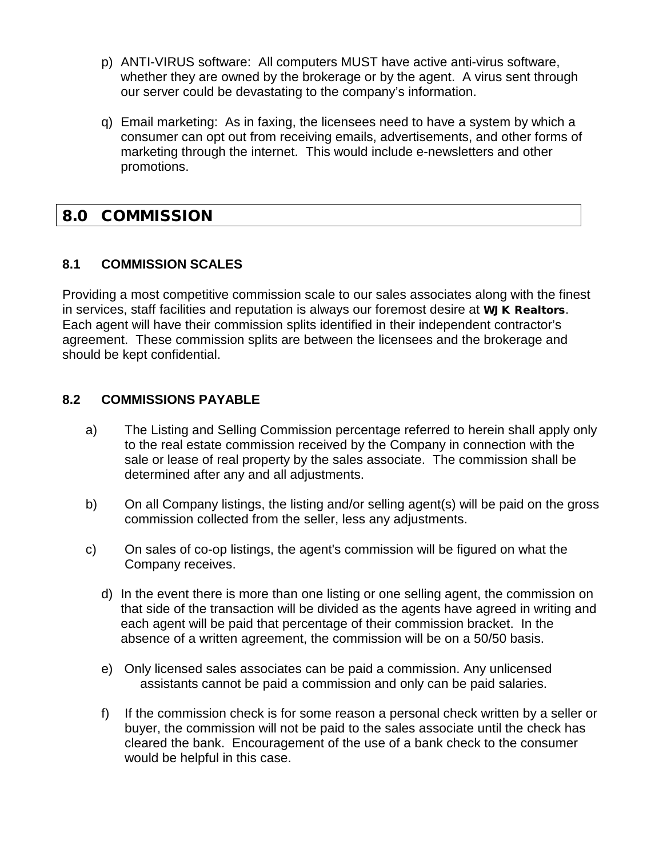- p) ANTI-VIRUS software: All computers MUST have active anti-virus software, whether they are owned by the brokerage or by the agent. A virus sent through our server could be devastating to the company's information.
- q) Email marketing: As in faxing, the licensees need to have a system by which a consumer can opt out from receiving emails, advertisements, and other forms of marketing through the internet. This would include e-newsletters and other promotions.

## 8.0 COMMISSION

## **8.1 COMMISSION SCALES**

Providing a most competitive commission scale to our sales associates along with the finest in services, staff facilities and reputation is always our foremost desire at WJK Realtors. Each agent will have their commission splits identified in their independent contractor's agreement. These commission splits are between the licensees and the brokerage and should be kept confidential.

## **8.2 COMMISSIONS PAYABLE**

- a) The Listing and Selling Commission percentage referred to herein shall apply only to the real estate commission received by the Company in connection with the sale or lease of real property by the sales associate. The commission shall be determined after any and all adjustments.
- b) On all Company listings, the listing and/or selling agent(s) will be paid on the gross commission collected from the seller, less any adjustments.
- c) On sales of co-op listings, the agent's commission will be figured on what the Company receives.
	- d) In the event there is more than one listing or one selling agent, the commission on that side of the transaction will be divided as the agents have agreed in writing and each agent will be paid that percentage of their commission bracket. In the absence of a written agreement, the commission will be on a 50/50 basis.
	- e) Only licensed sales associates can be paid a commission. Any unlicensed assistants cannot be paid a commission and only can be paid salaries.
	- f) If the commission check is for some reason a personal check written by a seller or buyer, the commission will not be paid to the sales associate until the check has cleared the bank. Encouragement of the use of a bank check to the consumer would be helpful in this case.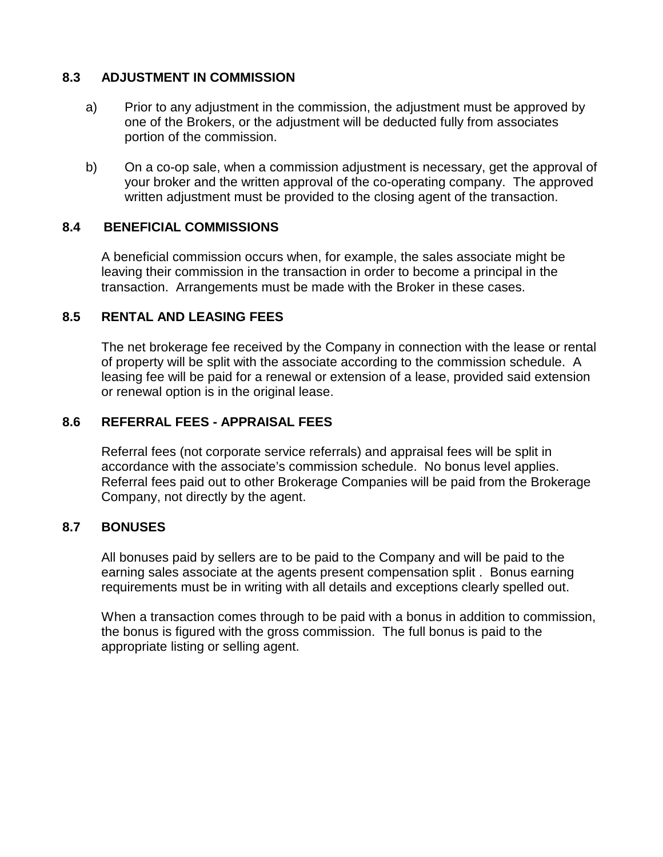#### **8.3 ADJUSTMENT IN COMMISSION**

- a) Prior to any adjustment in the commission, the adjustment must be approved by one of the Brokers, or the adjustment will be deducted fully from associates portion of the commission.
- b) On a co-op sale, when a commission adjustment is necessary, get the approval of your broker and the written approval of the co-operating company. The approved written adjustment must be provided to the closing agent of the transaction.

#### **8.4 BENEFICIAL COMMISSIONS**

A beneficial commission occurs when, for example, the sales associate might be leaving their commission in the transaction in order to become a principal in the transaction. Arrangements must be made with the Broker in these cases.

## **8.5 RENTAL AND LEASING FEES**

The net brokerage fee received by the Company in connection with the lease or rental of property will be split with the associate according to the commission schedule. A leasing fee will be paid for a renewal or extension of a lease, provided said extension or renewal option is in the original lease.

#### **8.6 REFERRAL FEES - APPRAISAL FEES**

Referral fees (not corporate service referrals) and appraisal fees will be split in accordance with the associate's commission schedule. No bonus level applies. Referral fees paid out to other Brokerage Companies will be paid from the Brokerage Company, not directly by the agent.

#### **8.7 BONUSES**

All bonuses paid by sellers are to be paid to the Company and will be paid to the earning sales associate at the agents present compensation split . Bonus earning requirements must be in writing with all details and exceptions clearly spelled out.

When a transaction comes through to be paid with a bonus in addition to commission, the bonus is figured with the gross commission. The full bonus is paid to the appropriate listing or selling agent.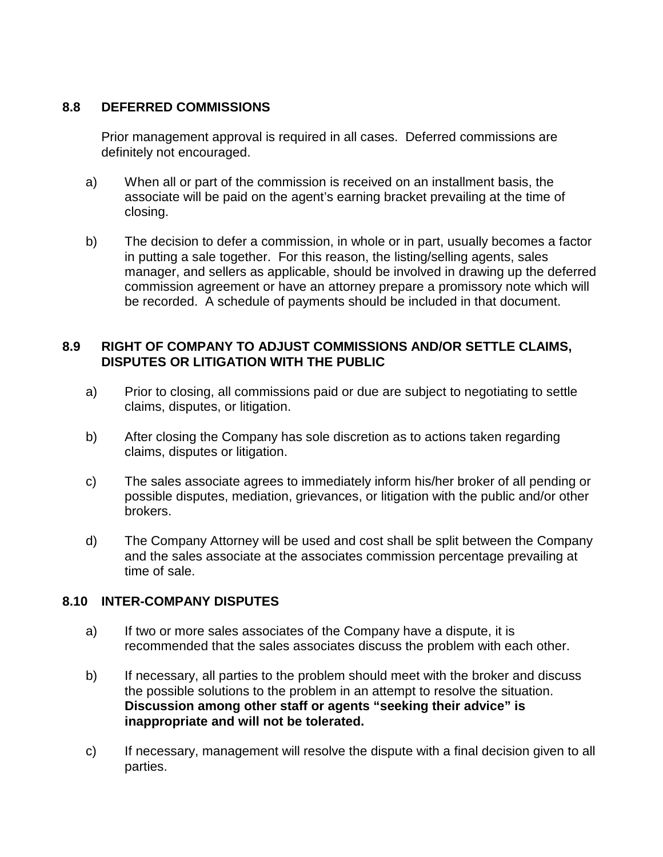#### **8.8 DEFERRED COMMISSIONS**

Prior management approval is required in all cases. Deferred commissions are definitely not encouraged.

- a) When all or part of the commission is received on an installment basis, the associate will be paid on the agent's earning bracket prevailing at the time of closing.
- b) The decision to defer a commission, in whole or in part, usually becomes a factor in putting a sale together. For this reason, the listing/selling agents, sales manager, and sellers as applicable, should be involved in drawing up the deferred commission agreement or have an attorney prepare a promissory note which will be recorded. A schedule of payments should be included in that document.

### **8.9 RIGHT OF COMPANY TO ADJUST COMMISSIONS AND/OR SETTLE CLAIMS, DISPUTES OR LITIGATION WITH THE PUBLIC**

- a) Prior to closing, all commissions paid or due are subject to negotiating to settle claims, disputes, or litigation.
- b) After closing the Company has sole discretion as to actions taken regarding claims, disputes or litigation.
- c) The sales associate agrees to immediately inform his/her broker of all pending or possible disputes, mediation, grievances, or litigation with the public and/or other brokers.
- d) The Company Attorney will be used and cost shall be split between the Company and the sales associate at the associates commission percentage prevailing at time of sale.

#### **8.10 INTER-COMPANY DISPUTES**

- a) If two or more sales associates of the Company have a dispute, it is recommended that the sales associates discuss the problem with each other.
- b) If necessary, all parties to the problem should meet with the broker and discuss the possible solutions to the problem in an attempt to resolve the situation. **Discussion among other staff or agents "seeking their advice" is inappropriate and will not be tolerated.**
- c) If necessary, management will resolve the dispute with a final decision given to all parties.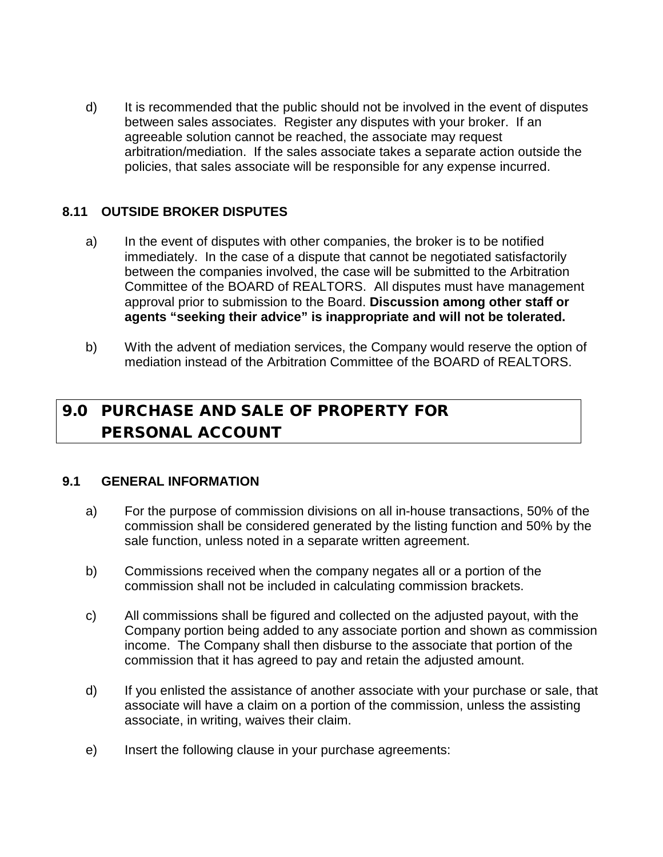d) It is recommended that the public should not be involved in the event of disputes between sales associates. Register any disputes with your broker. If an agreeable solution cannot be reached, the associate may request arbitration/mediation. If the sales associate takes a separate action outside the policies, that sales associate will be responsible for any expense incurred.

### **8.11 OUTSIDE BROKER DISPUTES**

- a) In the event of disputes with other companies, the broker is to be notified immediately. In the case of a dispute that cannot be negotiated satisfactorily between the companies involved, the case will be submitted to the Arbitration Committee of the BOARD of REALTORS. All disputes must have management approval prior to submission to the Board. **Discussion among other staff or agents "seeking their advice" is inappropriate and will not be tolerated.**
- b) With the advent of mediation services, the Company would reserve the option of mediation instead of the Arbitration Committee of the BOARD of REALTORS.

## 9.0 PURCHASE AND SALE OF PROPERTY FOR PERSONAL ACCOUNT

#### **9.1 GENERAL INFORMATION**

- a) For the purpose of commission divisions on all in-house transactions, 50% of the commission shall be considered generated by the listing function and 50% by the sale function, unless noted in a separate written agreement.
- b) Commissions received when the company negates all or a portion of the commission shall not be included in calculating commission brackets.
- c) All commissions shall be figured and collected on the adjusted payout, with the Company portion being added to any associate portion and shown as commission income. The Company shall then disburse to the associate that portion of the commission that it has agreed to pay and retain the adjusted amount.
- d) If you enlisted the assistance of another associate with your purchase or sale, that associate will have a claim on a portion of the commission, unless the assisting associate, in writing, waives their claim.
- e) Insert the following clause in your purchase agreements: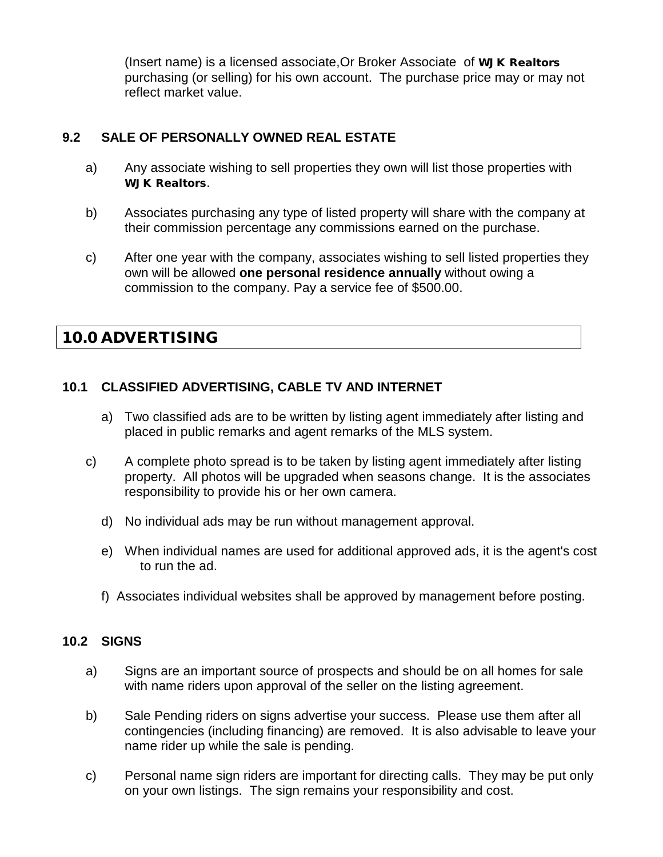(Insert name) is a licensed associate,Or Broker Associate of WJK Realtors purchasing (or selling) for his own account. The purchase price may or may not reflect market value.

### **9.2 SALE OF PERSONALLY OWNED REAL ESTATE**

- a) Any associate wishing to sell properties they own will list those properties with WJK Realtors.
- b) Associates purchasing any type of listed property will share with the company at their commission percentage any commissions earned on the purchase.
- c) After one year with the company, associates wishing to sell listed properties they own will be allowed **one personal residence annually** without owing a commission to the company. Pay a service fee of \$500.00.

## 10.0 ADVERTISING

## **10.1 CLASSIFIED ADVERTISING, CABLE TV AND INTERNET**

- a) Two classified ads are to be written by listing agent immediately after listing and placed in public remarks and agent remarks of the MLS system.
- c) A complete photo spread is to be taken by listing agent immediately after listing property. All photos will be upgraded when seasons change. It is the associates responsibility to provide his or her own camera.
	- d) No individual ads may be run without management approval.
	- e) When individual names are used for additional approved ads, it is the agent's cost to run the ad.
	- f) Associates individual websites shall be approved by management before posting.

#### **10.2 SIGNS**

- a) Signs are an important source of prospects and should be on all homes for sale with name riders upon approval of the seller on the listing agreement.
- b) Sale Pending riders on signs advertise your success. Please use them after all contingencies (including financing) are removed. It is also advisable to leave your name rider up while the sale is pending.
- c) Personal name sign riders are important for directing calls. They may be put only on your own listings. The sign remains your responsibility and cost.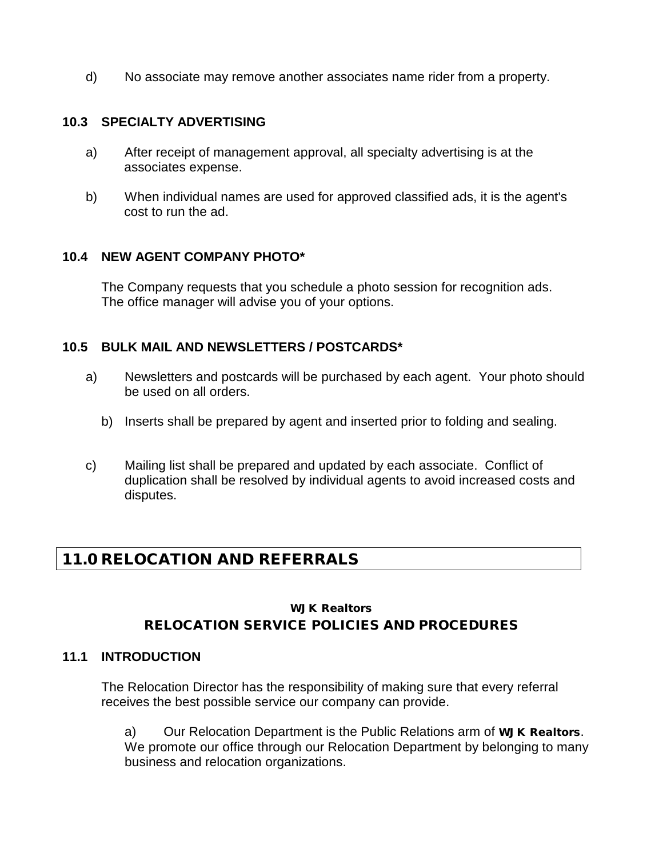d) No associate may remove another associates name rider from a property.

#### **10.3 SPECIALTY ADVERTISING**

- a) After receipt of management approval, all specialty advertising is at the associates expense.
- b) When individual names are used for approved classified ads, it is the agent's cost to run the ad.

#### **10.4 NEW AGENT COMPANY PHOTO\***

The Company requests that you schedule a photo session for recognition ads. The office manager will advise you of your options.

#### **10.5 BULK MAIL AND NEWSLETTERS / POSTCARDS\***

- a) Newsletters and postcards will be purchased by each agent. Your photo should be used on all orders.
	- b) Inserts shall be prepared by agent and inserted prior to folding and sealing.
- c) Mailing list shall be prepared and updated by each associate. Conflict of duplication shall be resolved by individual agents to avoid increased costs and disputes.

## 11.0 RELOCATION AND REFERRALS

## WJK Realtors RELOCATION SERVICE POLICIES AND PROCEDURES

### **11.1 INTRODUCTION**

The Relocation Director has the responsibility of making sure that every referral receives the best possible service our company can provide.

a) Our Relocation Department is the Public Relations arm of WJK Realtors. We promote our office through our Relocation Department by belonging to many business and relocation organizations.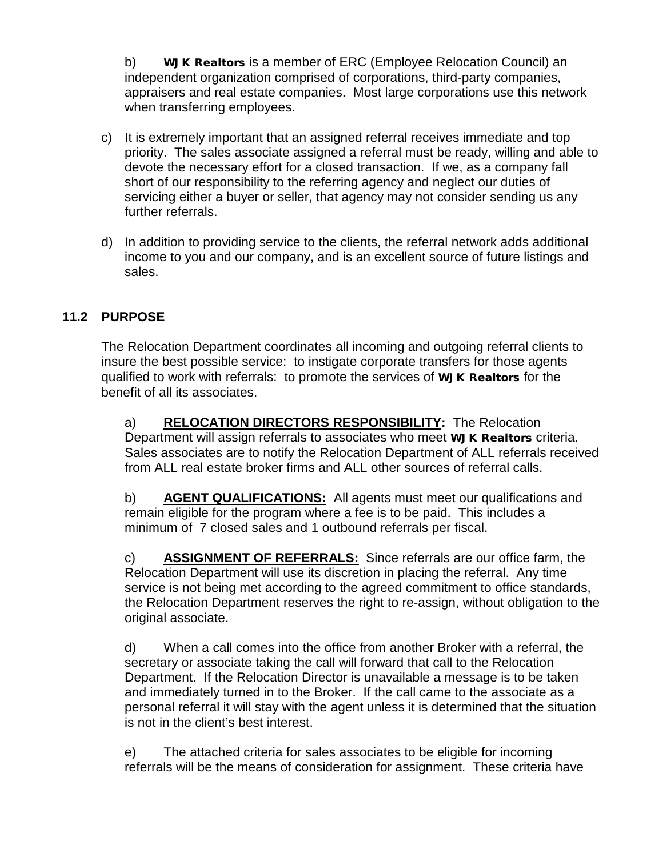b) WJK Realtors is a member of ERC (Employee Relocation Council) an independent organization comprised of corporations, third-party companies, appraisers and real estate companies. Most large corporations use this network when transferring employees.

- c) It is extremely important that an assigned referral receives immediate and top priority. The sales associate assigned a referral must be ready, willing and able to devote the necessary effort for a closed transaction. If we, as a company fall short of our responsibility to the referring agency and neglect our duties of servicing either a buyer or seller, that agency may not consider sending us any further referrals.
- d) In addition to providing service to the clients, the referral network adds additional income to you and our company, and is an excellent source of future listings and sales.

## **11.2 PURPOSE**

The Relocation Department coordinates all incoming and outgoing referral clients to insure the best possible service: to instigate corporate transfers for those agents qualified to work with referrals: to promote the services of WJK Realtors for the benefit of all its associates.

a) **RELOCATION DIRECTORS RESPONSIBILITY:** The Relocation Department will assign referrals to associates who meet WJK Realtors criteria. Sales associates are to notify the Relocation Department of ALL referrals received from ALL real estate broker firms and ALL other sources of referral calls.

b) **AGENT QUALIFICATIONS:** All agents must meet our qualifications and remain eligible for the program where a fee is to be paid. This includes a minimum of 7 closed sales and 1 outbound referrals per fiscal.

c) **ASSIGNMENT OF REFERRALS:** Since referrals are our office farm, the Relocation Department will use its discretion in placing the referral. Any time service is not being met according to the agreed commitment to office standards, the Relocation Department reserves the right to re-assign, without obligation to the original associate.

d) When a call comes into the office from another Broker with a referral, the secretary or associate taking the call will forward that call to the Relocation Department. If the Relocation Director is unavailable a message is to be taken and immediately turned in to the Broker. If the call came to the associate as a personal referral it will stay with the agent unless it is determined that the situation is not in the client's best interest.

e) The attached criteria for sales associates to be eligible for incoming referrals will be the means of consideration for assignment. These criteria have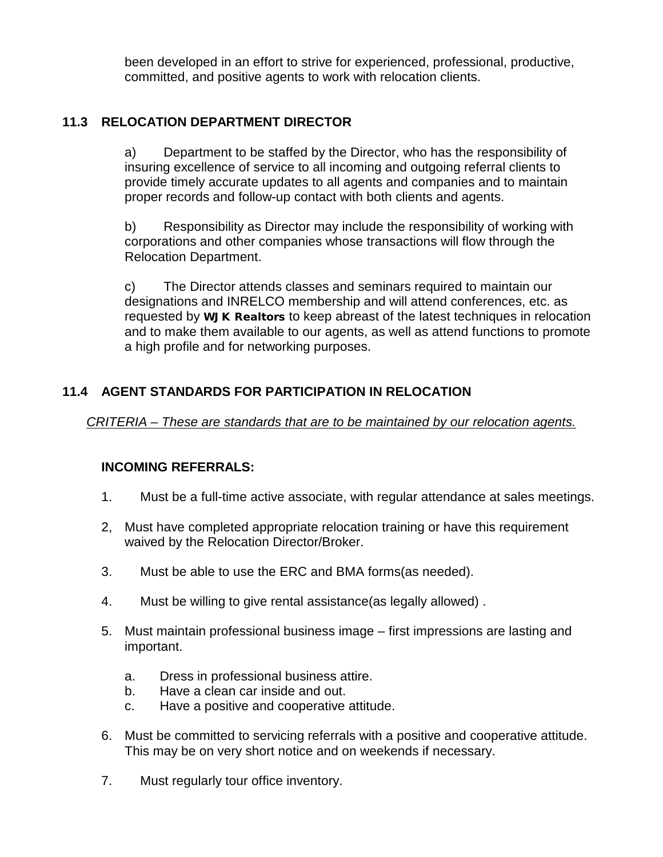been developed in an effort to strive for experienced, professional, productive, committed, and positive agents to work with relocation clients.

## **11.3 RELOCATION DEPARTMENT DIRECTOR**

a) Department to be staffed by the Director, who has the responsibility of insuring excellence of service to all incoming and outgoing referral clients to provide timely accurate updates to all agents and companies and to maintain proper records and follow-up contact with both clients and agents.

b) Responsibility as Director may include the responsibility of working with corporations and other companies whose transactions will flow through the Relocation Department.

c) The Director attends classes and seminars required to maintain our designations and INRELCO membership and will attend conferences, etc. as requested by WJK Realtors to keep abreast of the latest techniques in relocation and to make them available to our agents, as well as attend functions to promote a high profile and for networking purposes.

## **11.4 AGENT STANDARDS FOR PARTICIPATION IN RELOCATION**

*CRITERIA – These are standards that are to be maintained by our relocation agents.*

## **INCOMING REFERRALS:**

- 1. Must be a full-time active associate, with regular attendance at sales meetings.
- 2, Must have completed appropriate relocation training or have this requirement waived by the Relocation Director/Broker.
- 3. Must be able to use the ERC and BMA forms(as needed).
- 4. Must be willing to give rental assistance(as legally allowed) .
- 5. Must maintain professional business image first impressions are lasting and important.
	- a. Dress in professional business attire.
	- b. Have a clean car inside and out.
	- c. Have a positive and cooperative attitude.
- 6. Must be committed to servicing referrals with a positive and cooperative attitude. This may be on very short notice and on weekends if necessary.
- 7. Must regularly tour office inventory.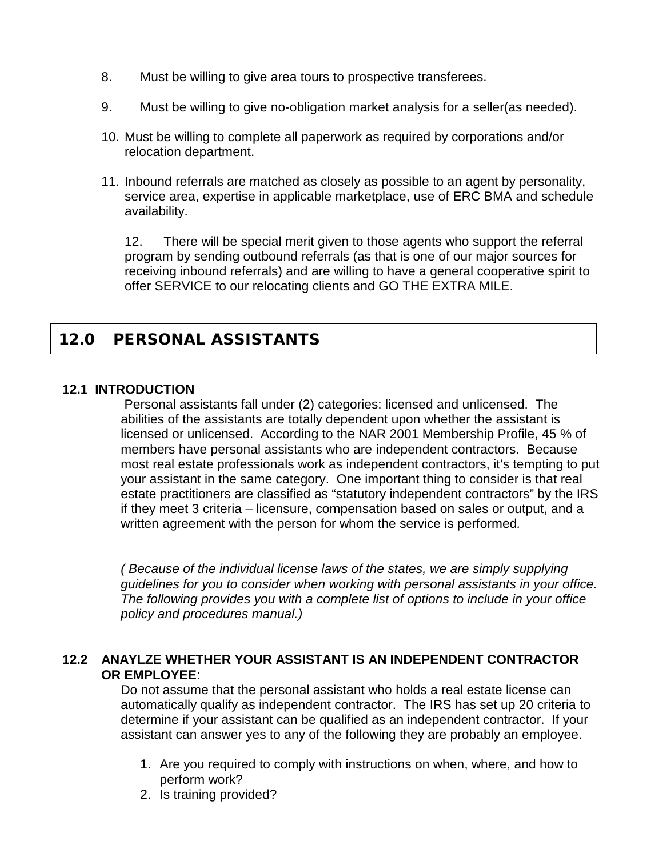- 8. Must be willing to give area tours to prospective transferees.
- 9. Must be willing to give no-obligation market analysis for a seller(as needed).
- 10. Must be willing to complete all paperwork as required by corporations and/or relocation department.
- 11. Inbound referrals are matched as closely as possible to an agent by personality, service area, expertise in applicable marketplace, use of ERC BMA and schedule availability.

12. There will be special merit given to those agents who support the referral program by sending outbound referrals (as that is one of our major sources for receiving inbound referrals) and are willing to have a general cooperative spirit to offer SERVICE to our relocating clients and GO THE EXTRA MILE.

## 12.0 PERSONAL ASSISTANTS

#### **12.1 INTRODUCTION**

Personal assistants fall under (2) categories: licensed and unlicensed. The abilities of the assistants are totally dependent upon whether the assistant is licensed or unlicensed. According to the NAR 2001 Membership Profile, 45 % of members have personal assistants who are independent contractors. Because most real estate professionals work as independent contractors, it's tempting to put your assistant in the same category. One important thing to consider is that real estate practitioners are classified as "statutory independent contractors" by the IRS if they meet 3 criteria – licensure, compensation based on sales or output, and a written agreement with the person for whom the service is performed*.* 

*( Because of the individual license laws of the states, we are simply supplying guidelines for you to consider when working with personal assistants in your office. The following provides you with a complete list of options to include in your office policy and procedures manual.)*

#### **12.2 ANAYLZE WHETHER YOUR ASSISTANT IS AN INDEPENDENT CONTRACTOR OR EMPLOYEE**:

Do not assume that the personal assistant who holds a real estate license can automatically qualify as independent contractor. The IRS has set up 20 criteria to determine if your assistant can be qualified as an independent contractor. If your assistant can answer yes to any of the following they are probably an employee.

- 1. Are you required to comply with instructions on when, where, and how to perform work?
- 2. Is training provided?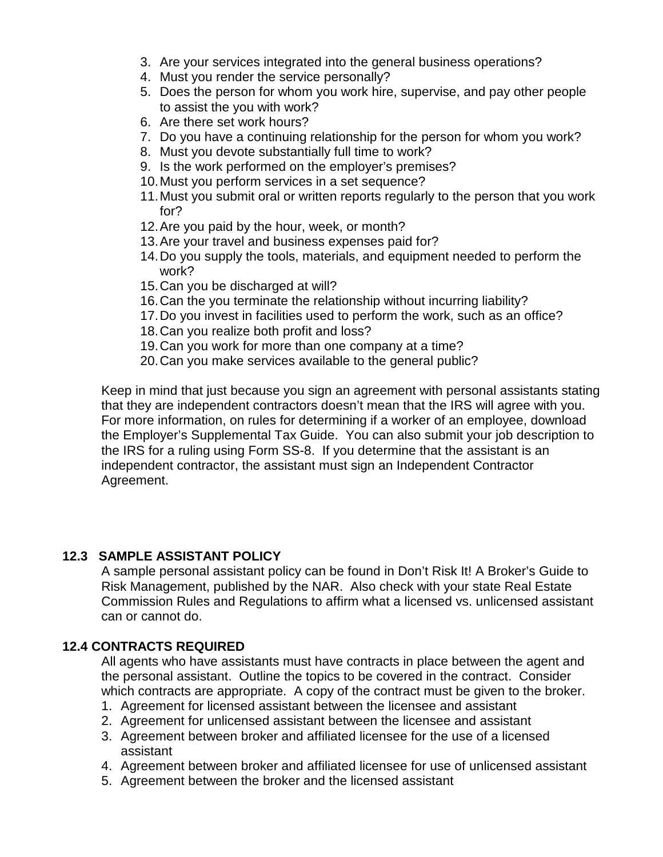- 3. Are your services integrated into the general business operations?
- 4. Must you render the service personally?
- 5. Does the person for whom you work hire, supervise, and pay other people to assist the you with work?
- 6. Are there set work hours?
- 7. Do you have a continuing relationship for the person for whom you work?
- 8. Must you devote substantially full time to work?
- 9. Is the work performed on the employer's premises?
- 10.Must you perform services in a set sequence?
- 11.Must you submit oral or written reports regularly to the person that you work for?
- 12.Are you paid by the hour, week, or month?
- 13.Are your travel and business expenses paid for?
- 14.Do you supply the tools, materials, and equipment needed to perform the work?
- 15.Can you be discharged at will?
- 16.Can the you terminate the relationship without incurring liability?
- 17.Do you invest in facilities used to perform the work, such as an office?
- 18.Can you realize both profit and loss?
- 19.Can you work for more than one company at a time?
- 20.Can you make services available to the general public?

Keep in mind that just because you sign an agreement with personal assistants stating that they are independent contractors doesn't mean that the IRS will agree with you. For more information, on rules for determining if a worker of an employee, download the Employer's Supplemental Tax Guide. You can also submit your job description to the IRS for a ruling using Form SS-8. If you determine that the assistant is an independent contractor, the assistant must sign an Independent Contractor Agreement.

## **12.3 SAMPLE ASSISTANT POLICY**

A sample personal assistant policy can be found in Don't Risk It! A Broker's Guide to Risk Management, published by the NAR. Also check with your state Real Estate Commission Rules and Regulations to affirm what a licensed vs. unlicensed assistant can or cannot do.

## **12.4 CONTRACTS REQUIRED**

All agents who have assistants must have contracts in place between the agent and the personal assistant. Outline the topics to be covered in the contract. Consider which contracts are appropriate. A copy of the contract must be given to the broker.

- 1. Agreement for licensed assistant between the licensee and assistant
- 2. Agreement for unlicensed assistant between the licensee and assistant
- 3. Agreement between broker and affiliated licensee for the use of a licensed assistant
- 4. Agreement between broker and affiliated licensee for use of unlicensed assistant
- 5. Agreement between the broker and the licensed assistant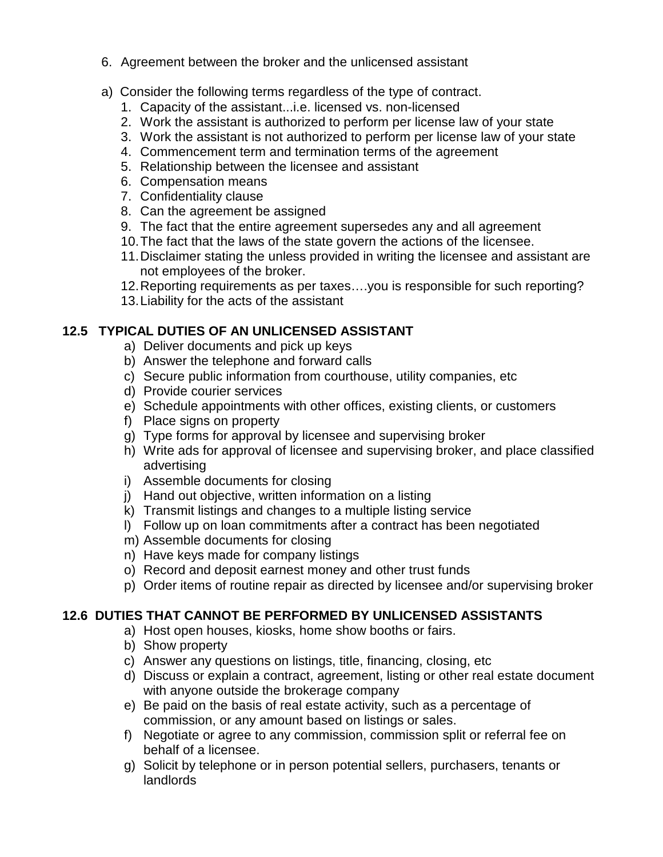- 6. Agreement between the broker and the unlicensed assistant
- a) Consider the following terms regardless of the type of contract.
	- 1. Capacity of the assistant...i.e. licensed vs. non-licensed
	- 2. Work the assistant is authorized to perform per license law of your state
	- 3. Work the assistant is not authorized to perform per license law of your state
	- 4. Commencement term and termination terms of the agreement
	- 5. Relationship between the licensee and assistant
	- 6. Compensation means
	- 7. Confidentiality clause
	- 8. Can the agreement be assigned
	- 9. The fact that the entire agreement supersedes any and all agreement
	- 10.The fact that the laws of the state govern the actions of the licensee.
	- 11.Disclaimer stating the unless provided in writing the licensee and assistant are not employees of the broker.
	- 12.Reporting requirements as per taxes….you is responsible for such reporting?
	- 13.Liability for the acts of the assistant

## **12.5 TYPICAL DUTIES OF AN UNLICENSED ASSISTANT**

- a) Deliver documents and pick up keys
- b) Answer the telephone and forward calls
- c) Secure public information from courthouse, utility companies, etc
- d) Provide courier services
- e) Schedule appointments with other offices, existing clients, or customers
- f) Place signs on property
- g) Type forms for approval by licensee and supervising broker
- h) Write ads for approval of licensee and supervising broker, and place classified advertising
- i) Assemble documents for closing
- j) Hand out objective, written information on a listing
- k) Transmit listings and changes to a multiple listing service
- l) Follow up on loan commitments after a contract has been negotiated
- m) Assemble documents for closing
- n) Have keys made for company listings
- o) Record and deposit earnest money and other trust funds
- p) Order items of routine repair as directed by licensee and/or supervising broker

## **12.6 DUTIES THAT CANNOT BE PERFORMED BY UNLICENSED ASSISTANTS**

- a) Host open houses, kiosks, home show booths or fairs.
- b) Show property
- c) Answer any questions on listings, title, financing, closing, etc
- d) Discuss or explain a contract, agreement, listing or other real estate document with anyone outside the brokerage company
- e) Be paid on the basis of real estate activity, such as a percentage of commission, or any amount based on listings or sales.
- f) Negotiate or agree to any commission, commission split or referral fee on behalf of a licensee.
- g) Solicit by telephone or in person potential sellers, purchasers, tenants or landlords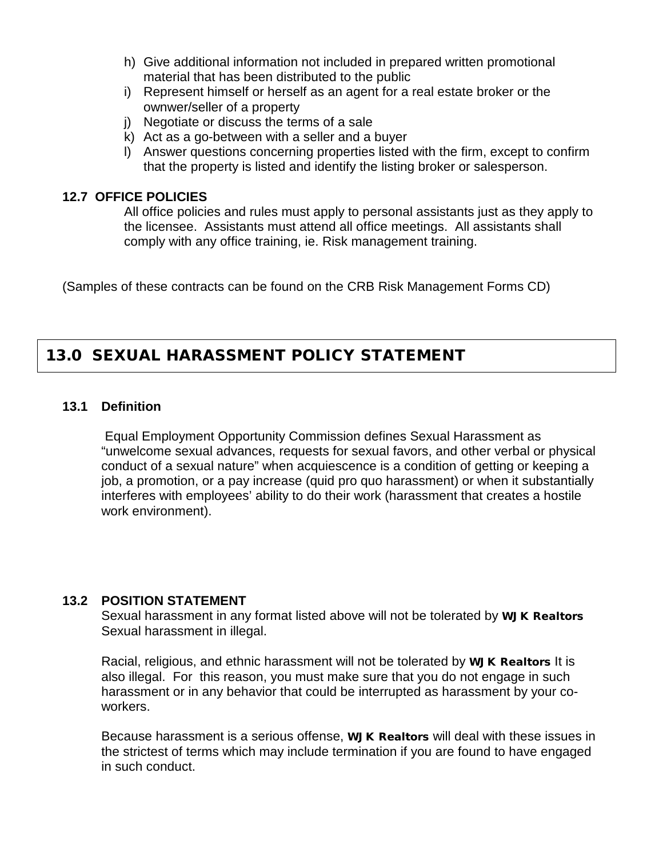- h) Give additional information not included in prepared written promotional material that has been distributed to the public
- i) Represent himself or herself as an agent for a real estate broker or the ownwer/seller of a property
- j) Negotiate or discuss the terms of a sale
- k) Act as a go-between with a seller and a buyer
- l) Answer questions concerning properties listed with the firm, except to confirm that the property is listed and identify the listing broker or salesperson.

## **12.7 OFFICE POLICIES**

All office policies and rules must apply to personal assistants just as they apply to the licensee. Assistants must attend all office meetings. All assistants shall comply with any office training, ie. Risk management training.

(Samples of these contracts can be found on the CRB Risk Management Forms CD)

## 13.0 SEXUAL HARASSMENT POLICY STATEMENT

### **13.1 Definition**

Equal Employment Opportunity Commission defines Sexual Harassment as "unwelcome sexual advances, requests for sexual favors, and other verbal or physical conduct of a sexual nature" when acquiescence is a condition of getting or keeping a job, a promotion, or a pay increase (quid pro quo harassment) or when it substantially interferes with employees' ability to do their work (harassment that creates a hostile work environment).

#### **13.2 POSITION STATEMENT**

Sexual harassment in any format listed above will not be tolerated by WJK Realtors Sexual harassment in illegal.

Racial, religious, and ethnic harassment will not be tolerated by WJK Realtors It is also illegal. For this reason, you must make sure that you do not engage in such harassment or in any behavior that could be interrupted as harassment by your coworkers.

Because harassment is a serious offense, WJK Realtors will deal with these issues in the strictest of terms which may include termination if you are found to have engaged in such conduct.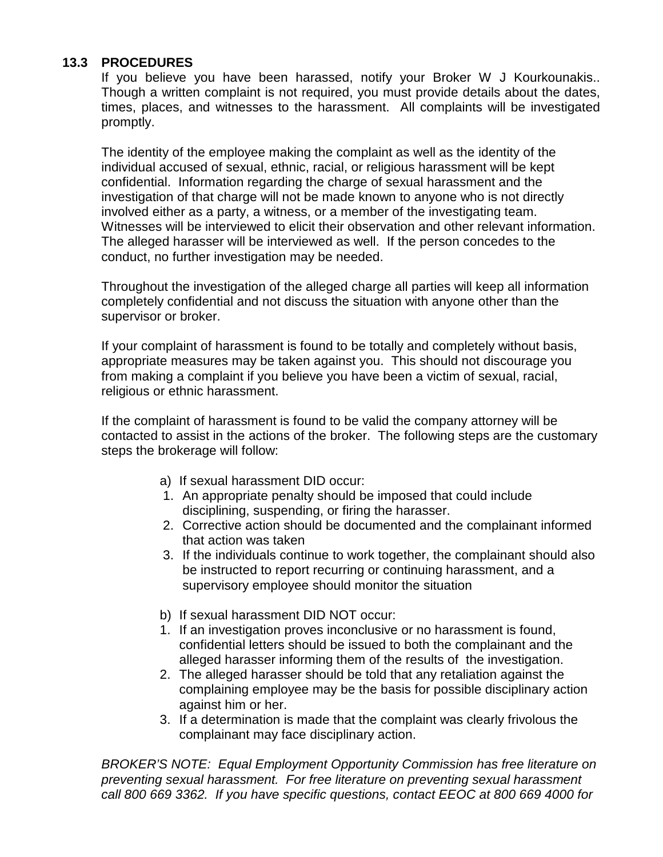## **13.3 PROCEDURES**

If you believe you have been harassed, notify your Broker W J Kourkounakis.. Though a written complaint is not required, you must provide details about the dates, times, places, and witnesses to the harassment. All complaints will be investigated promptly.

The identity of the employee making the complaint as well as the identity of the individual accused of sexual, ethnic, racial, or religious harassment will be kept confidential. Information regarding the charge of sexual harassment and the investigation of that charge will not be made known to anyone who is not directly involved either as a party, a witness, or a member of the investigating team. Witnesses will be interviewed to elicit their observation and other relevant information. The alleged harasser will be interviewed as well. If the person concedes to the conduct, no further investigation may be needed.

Throughout the investigation of the alleged charge all parties will keep all information completely confidential and not discuss the situation with anyone other than the supervisor or broker.

If your complaint of harassment is found to be totally and completely without basis, appropriate measures may be taken against you. This should not discourage you from making a complaint if you believe you have been a victim of sexual, racial, religious or ethnic harassment.

If the complaint of harassment is found to be valid the company attorney will be contacted to assist in the actions of the broker. The following steps are the customary steps the brokerage will follow:

- a) If sexual harassment DID occur:
- 1. An appropriate penalty should be imposed that could include disciplining, suspending, or firing the harasser.
- 2. Corrective action should be documented and the complainant informed that action was taken
- 3. If the individuals continue to work together, the complainant should also be instructed to report recurring or continuing harassment, and a supervisory employee should monitor the situation
- b) If sexual harassment DID NOT occur:
- 1. If an investigation proves inconclusive or no harassment is found, confidential letters should be issued to both the complainant and the alleged harasser informing them of the results of the investigation.
- 2. The alleged harasser should be told that any retaliation against the complaining employee may be the basis for possible disciplinary action against him or her.
- 3. If a determination is made that the complaint was clearly frivolous the complainant may face disciplinary action.

*BROKER'S NOTE: Equal Employment Opportunity Commission has free literature on preventing sexual harassment. For free literature on preventing sexual harassment call 800 669 3362. If you have specific questions, contact EEOC at 800 669 4000 for*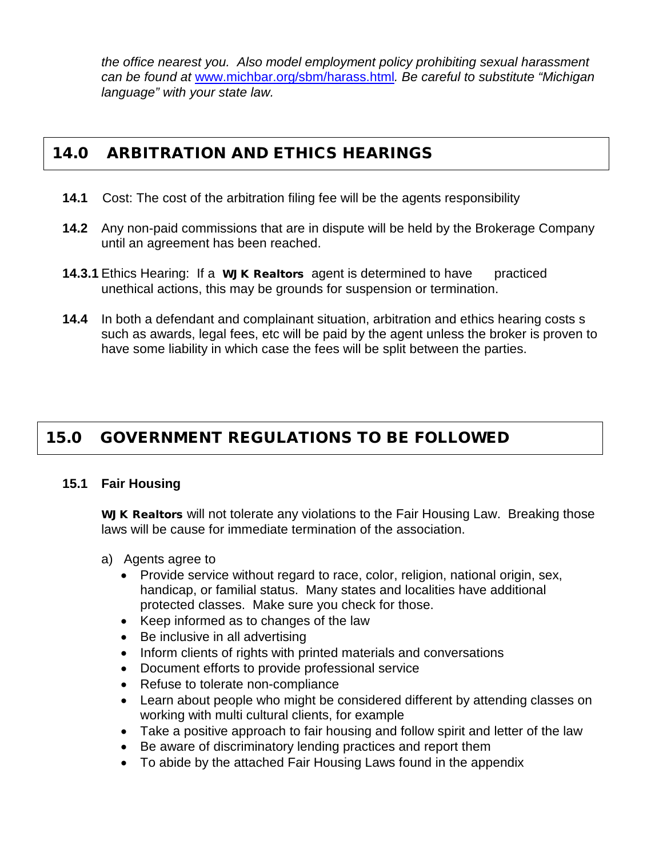*the office nearest you. Also model employment policy prohibiting sexual harassment can be found at* [www.michbar.org/sbm/harass.html](http://www.michbar.org/sbm/harass.html)*. Be careful to substitute "Michigan language" with your state law.*

## 14.0 ARBITRATION AND ETHICS HEARINGS

- **14.1** Cost: The cost of the arbitration filing fee will be the agents responsibility
- **14.2** Any non-paid commissions that are in dispute will be held by the Brokerage Company until an agreement has been reached.
- **14.3.1** Ethics Hearing: If a **WJK Realtors** agent is determined to have practiced unethical actions, this may be grounds for suspension or termination.
- **14.4** In both a defendant and complainant situation, arbitration and ethics hearing costs s such as awards, legal fees, etc will be paid by the agent unless the broker is proven to have some liability in which case the fees will be split between the parties.

## 15.0 GOVERNMENT REGULATIONS TO BE FOLLOWED

## **15.1 Fair Housing**

WJK Realtors will not tolerate any violations to the Fair Housing Law. Breaking those laws will be cause for immediate termination of the association.

- a) Agents agree to
	- Provide service without regard to race, color, religion, national origin, sex, handicap, or familial status. Many states and localities have additional protected classes. Make sure you check for those.
	- Keep informed as to changes of the law
	- Be inclusive in all advertising
	- Inform clients of rights with printed materials and conversations
	- Document efforts to provide professional service
	- Refuse to tolerate non-compliance
	- Learn about people who might be considered different by attending classes on working with multi cultural clients, for example
	- Take a positive approach to fair housing and follow spirit and letter of the law
	- Be aware of discriminatory lending practices and report them
	- To abide by the attached Fair Housing Laws found in the appendix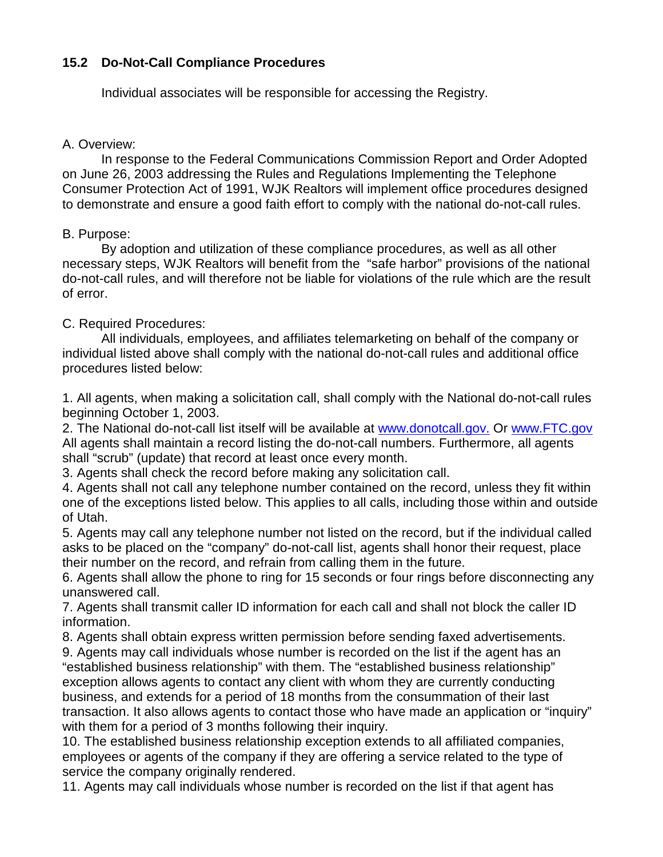#### **15.2 Do-Not-Call Compliance Procedures**

Individual associates will be responsible for accessing the Registry.

#### A. Overview:

In response to the Federal Communications Commission Report and Order Adopted on June 26, 2003 addressing the Rules and Regulations Implementing the Telephone Consumer Protection Act of 1991, WJK Realtors will implement office procedures designed to demonstrate and ensure a good faith effort to comply with the national do-not-call rules.

#### B. Purpose:

By adoption and utilization of these compliance procedures, as well as all other necessary steps, WJK Realtors will benefit from the "safe harbor" provisions of the national do-not-call rules, and will therefore not be liable for violations of the rule which are the result of error.

#### C. Required Procedures:

All individuals, employees, and affiliates telemarketing on behalf of the company or individual listed above shall comply with the national do-not-call rules and additional office procedures listed below:

1. All agents, when making a solicitation call, shall comply with the National do-not-call rules beginning October 1, 2003.

2. The National do-not-call list itself will be available at [www.donotcall.gov.](http://www.donotcall.gov/) Or [www.FTC.gov](http://www.ftc.gov/)  All agents shall maintain a record listing the do-not-call numbers. Furthermore, all agents shall "scrub" (update) that record at least once every month.

3. Agents shall check the record before making any solicitation call.

4. Agents shall not call any telephone number contained on the record, unless they fit within one of the exceptions listed below. This applies to all calls, including those within and outside of Utah.

5. Agents may call any telephone number not listed on the record, but if the individual called asks to be placed on the "company" do-not-call list, agents shall honor their request, place their number on the record, and refrain from calling them in the future.

6. Agents shall allow the phone to ring for 15 seconds or four rings before disconnecting any unanswered call.

7. Agents shall transmit caller ID information for each call and shall not block the caller ID information.

8. Agents shall obtain express written permission before sending faxed advertisements.

9. Agents may call individuals whose number is recorded on the list if the agent has an "established business relationship" with them. The "established business relationship" exception allows agents to contact any client with whom they are currently conducting business, and extends for a period of 18 months from the consummation of their last transaction. It also allows agents to contact those who have made an application or "inquiry" with them for a period of 3 months following their inquiry.

10. The established business relationship exception extends to all affiliated companies, employees or agents of the company if they are offering a service related to the type of service the company originally rendered.

11. Agents may call individuals whose number is recorded on the list if that agent has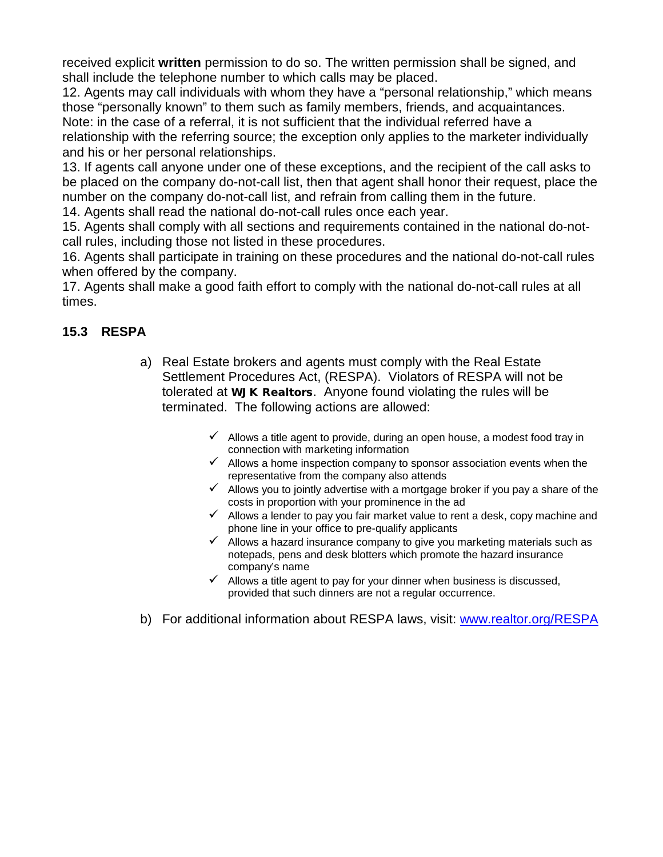received explicit **written** permission to do so. The written permission shall be signed, and shall include the telephone number to which calls may be placed.

12. Agents may call individuals with whom they have a "personal relationship," which means those "personally known" to them such as family members, friends, and acquaintances. Note: in the case of a referral, it is not sufficient that the individual referred have a relationship with the referring source; the exception only applies to the marketer individually

and his or her personal relationships.

13. If agents call anyone under one of these exceptions, and the recipient of the call asks to be placed on the company do-not-call list, then that agent shall honor their request, place the number on the company do-not-call list, and refrain from calling them in the future.

14. Agents shall read the national do-not-call rules once each year.

15. Agents shall comply with all sections and requirements contained in the national do-notcall rules, including those not listed in these procedures.

16. Agents shall participate in training on these procedures and the national do-not-call rules when offered by the company.

17. Agents shall make a good faith effort to comply with the national do-not-call rules at all times.

## **15.3 RESPA**

- a) Real Estate brokers and agents must comply with the Real Estate Settlement Procedures Act, (RESPA). Violators of RESPA will not be tolerated at WJK Realtors. Anyone found violating the rules will be terminated. The following actions are allowed:
	- $\checkmark$  Allows a title agent to provide, during an open house, a modest food tray in connection with marketing information
	- $\checkmark$  Allows a home inspection company to sponsor association events when the representative from the company also attends
	- $\checkmark$  Allows you to jointly advertise with a mortgage broker if you pay a share of the costs in proportion with your prominence in the ad
	- $\checkmark$  Allows a lender to pay you fair market value to rent a desk, copy machine and phone line in your office to pre-qualify applicants
	- $\checkmark$  Allows a hazard insurance company to give you marketing materials such as notepads, pens and desk blotters which promote the hazard insurance company's name
	- $\checkmark$  Allows a title agent to pay for your dinner when business is discussed, provided that such dinners are not a regular occurrence.
- b) For additional information about RESPA laws, visit: [www.realtor.org/RESPA](http://www.realtor.org/RESPA)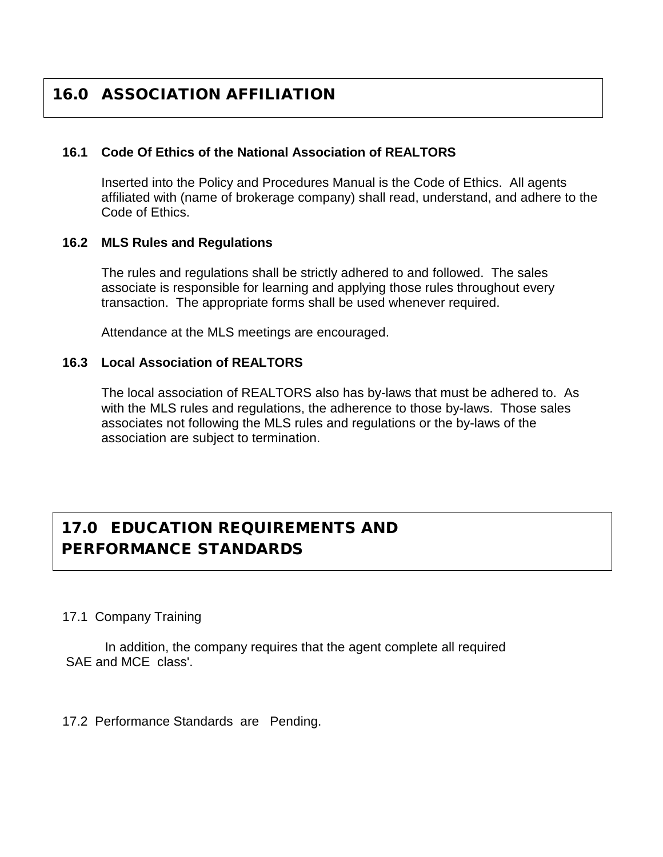## 16.0 ASSOCIATION AFFILIATION

#### **16.1 Code Of Ethics of the National Association of REALTORS**

Inserted into the Policy and Procedures Manual is the Code of Ethics. All agents affiliated with (name of brokerage company) shall read, understand, and adhere to the Code of Ethics.

#### **16.2 MLS Rules and Regulations**

The rules and regulations shall be strictly adhered to and followed. The sales associate is responsible for learning and applying those rules throughout every transaction. The appropriate forms shall be used whenever required.

Attendance at the MLS meetings are encouraged.

#### **16.3 Local Association of REALTORS**

The local association of REALTORS also has by-laws that must be adhered to. As with the MLS rules and regulations, the adherence to those by-laws. Those sales associates not following the MLS rules and regulations or the by-laws of the association are subject to termination.

## 17.0 EDUCATION REQUIREMENTS AND PERFORMANCE STANDARDS

17.1 Company Training

In addition, the company requires that the agent complete all required SAE and MCE class'.

17.2 Performance Standards are Pending.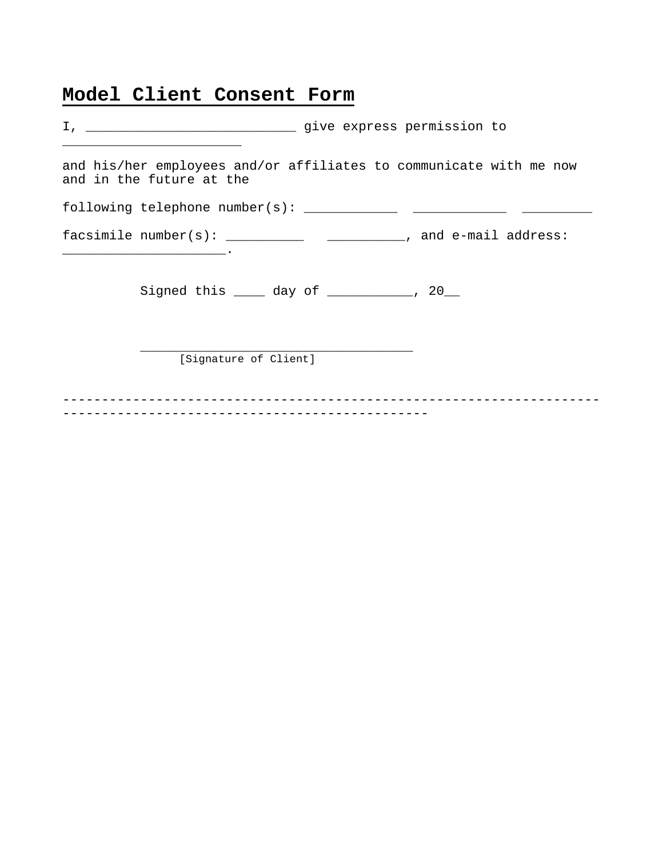## **Model Client Consent Form**

| and his/her employees and/or affiliates to communicate with me now<br>and in the future at the |
|------------------------------------------------------------------------------------------------|
|                                                                                                |
| facsimile $number(s):$ ___________________________, and e-mail address:                        |
| Signed this _____ day of __________, 20__                                                      |
| [Signature of Client]                                                                          |
|                                                                                                |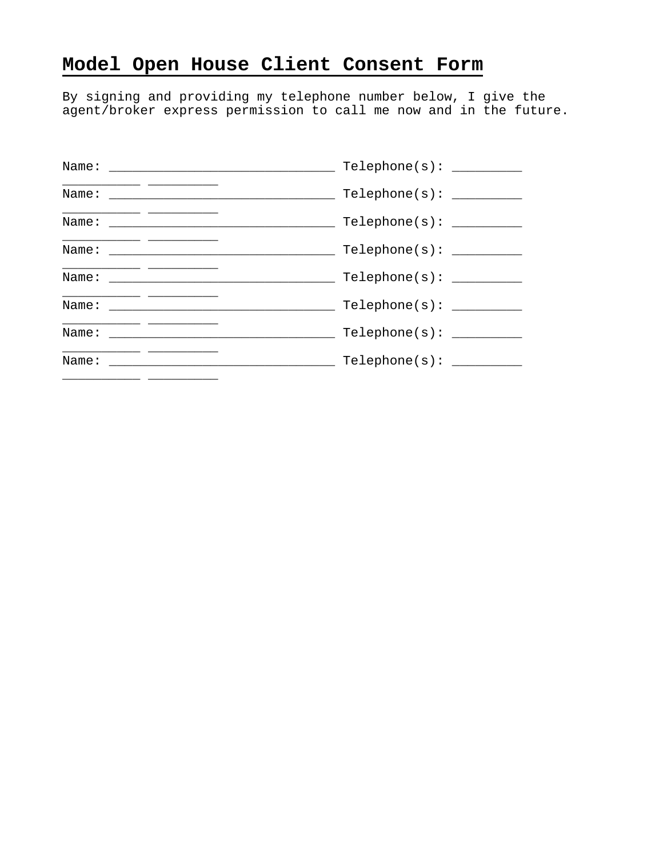## **Model Open House Client Consent Form**

By signing and providing my telephone number below, I give the agent/broker express permission to call me now and in the future.

| Name: | Telephone(s):      |
|-------|--------------------|
|       | Telephone(s):      |
|       |                    |
|       | $Telephone(s): \_$ |
|       |                    |
|       | Telephone(s):      |
|       | Telephone(s):      |
| Name: |                    |
|       |                    |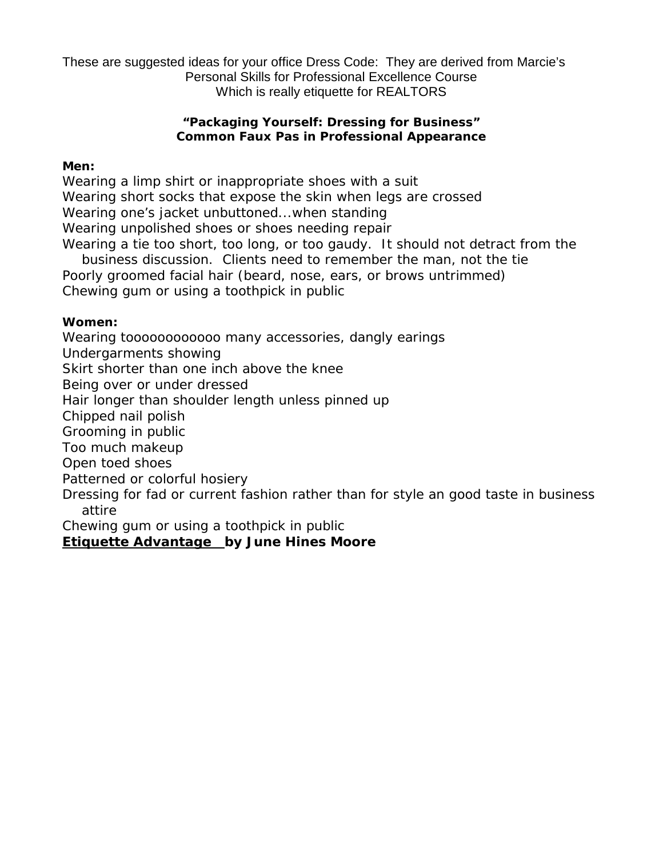These are suggested ideas for your office Dress Code: They are derived from Marcie's Personal Skills for Professional Excellence Course Which is really etiquette for REALTORS

#### **"Packaging Yourself: Dressing for Business" Common Faux Pas in Professional Appearance**

#### **Men:**

Wearing a limp shirt or inappropriate shoes with a suit Wearing short socks that expose the skin when legs are crossed Wearing one's jacket unbuttoned...when standing Wearing unpolished shoes or shoes needing repair Wearing a tie too short, too long, or too gaudy. It should not detract from the

business discussion. Clients need to remember the man, not the tie Poorly groomed facial hair (beard, nose, ears, or brows untrimmed) Chewing gum or using a toothpick in public

#### **Women:**

Wearing toooooooooooo many accessories, dangly earings Undergarments showing Skirt shorter than one inch above the knee Being over or under dressed Hair longer than shoulder length unless pinned up Chipped nail polish Grooming in public Too much makeup Open toed shoes Patterned or colorful hosiery Dressing for fad or current fashion rather than for style an good taste in business attire Chewing gum or using a toothpick in public

**Etiquette Advantage by June Hines Moore**